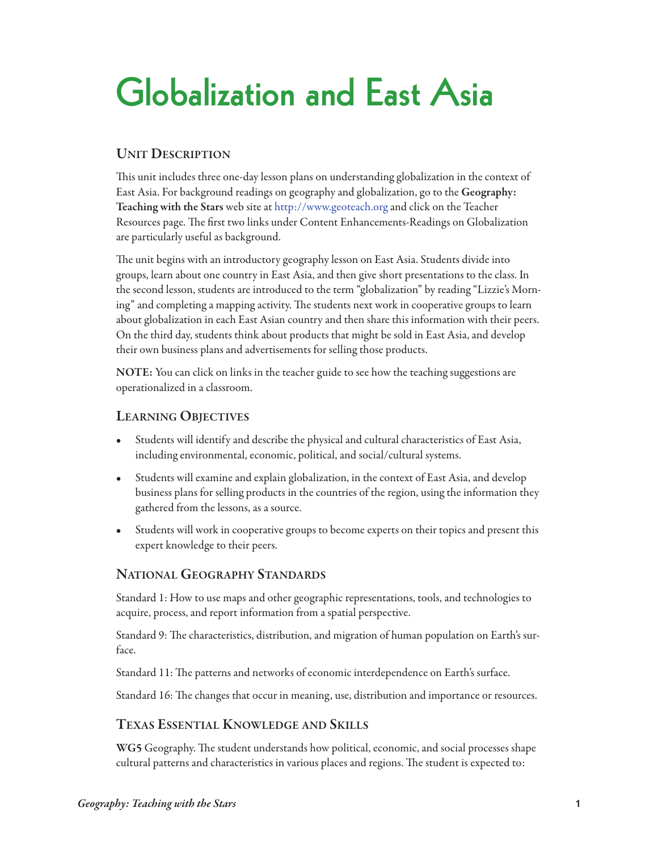# **Globalization and East Asia**

## **Unit Description**

This unit includes three one-day lesson plans on understanding globalization in the context of East Asia. For background readings on geography and globalization, go to the **Geography: teaching with the stars** web site at <http://www.geoteach.org> and click on the Teacher Resources page. The first two links under Content Enhancements-Readings on Globalization are particularly useful as background.

The unit begins with an introductory geography lesson on East Asia. Students divide into groups, learn about one country in East Asia, and then give short presentations to the class. In the second lesson, students are introduced to the term "globalization" by reading "Lizzie's Morning" and completing a mapping activity. The students next work in cooperative groups to learn about globalization in each East Asian country and then share this information with their peers. On the third day, students think about products that might be sold in East Asia, and develop their own business plans and advertisements for selling those products.

NOTE: You can click on links in the teacher guide to see how the teaching suggestions are operationalized in a classroom.

## **LearninG objectives**

- Students will identify and describe the physical and cultural characteristics of East Asia, including environmental, economic, political, and social/cultural systems.
- Students will examine and explain globalization, in the context of East Asia, and develop business plans for selling products in the countries of the region, using the information they gathered from the lessons, as a source.
- Students will work in cooperative groups to become experts on their topics and present this expert knowledge to their peers.

## **nationaL GeoGraphy stanDarDs**

Standard 1: How to use maps and other geographic representations, tools, and technologies to acquire, process, and report information from a spatial perspective.

Standard 9: The characteristics, distribution, and migration of human population on Earth's surface.

Standard 11: The patterns and networks of economic interdependence on Earth's surface.

Standard 16: The changes that occur in meaning, use, distribution and importance or resources.

## **texas essentiaL KnowLeDGe anD sKiLLs**

**WG5** Geography. The student understands how political, economic, and social processes shape cultural patterns and characteristics in various places and regions. The student is expected to: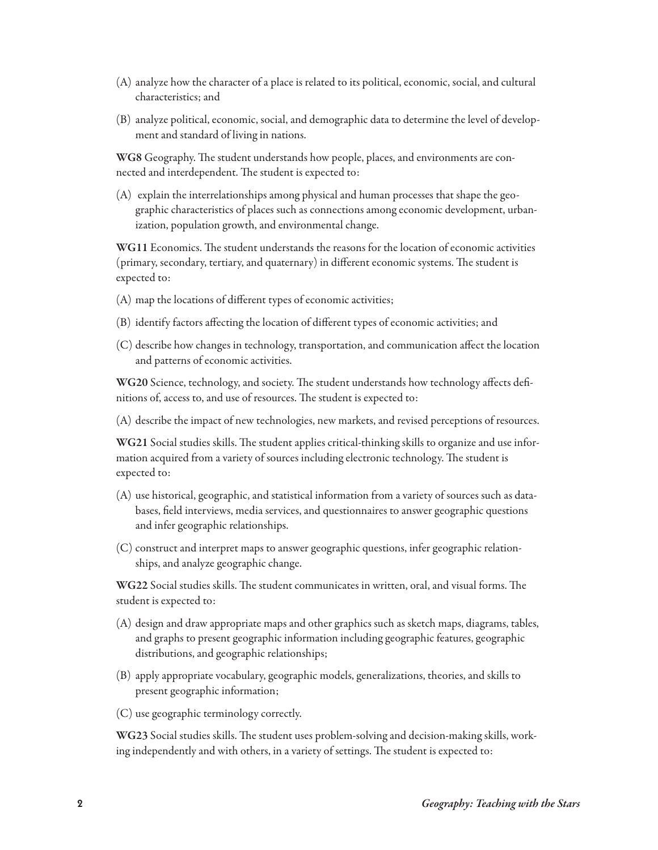- (A) analyze how the character of a place is related to its political, economic, social, and cultural characteristics; and
- (B) analyze political, economic, social, and demographic data to determine the level of development and standard of living in nations.

**WG8** Geography. The student understands how people, places, and environments are connected and interdependent. The student is expected to:

(A) explain the interrelationships among physical and human processes that shape the geographic characteristics of places such as connections among economic development, urbanization, population growth, and environmental change.

WG11 Economics. The student understands the reasons for the location of economic activities (primary, secondary, tertiary, and quaternary) in different economic systems. The student is expected to:

- (A) map the locations of different types of economic activities;
- (B) identify factors affecting the location of different types of economic activities; and
- (C) describe how changes in technology, transportation, and communication affect the location and patterns of economic activities.

WG20 Science, technology, and society. The student understands how technology affects definitions of, access to, and use of resources. The student is expected to:

(A) describe the impact of new technologies, new markets, and revised perceptions of resources.

WG21 Social studies skills. The student applies critical-thinking skills to organize and use information acquired from a variety of sources including electronic technology. The student is expected to:

- (A) use historical, geographic, and statistical information from a variety of sources such as databases, field interviews, media services, and questionnaires to answer geographic questions and infer geographic relationships.
- (C) construct and interpret maps to answer geographic questions, infer geographic relationships, and analyze geographic change.

**WG22** Social studies skills. The student communicates in written, oral, and visual forms. The student is expected to:

- (A) design and draw appropriate maps and other graphics such as sketch maps, diagrams, tables, and graphs to present geographic information including geographic features, geographic distributions, and geographic relationships;
- (B) apply appropriate vocabulary, geographic models, generalizations, theories, and skills to present geographic information;
- (C) use geographic terminology correctly.

**WG23** Social studies skills. The student uses problem-solving and decision-making skills, working independently and with others, in a variety of settings. The student is expected to: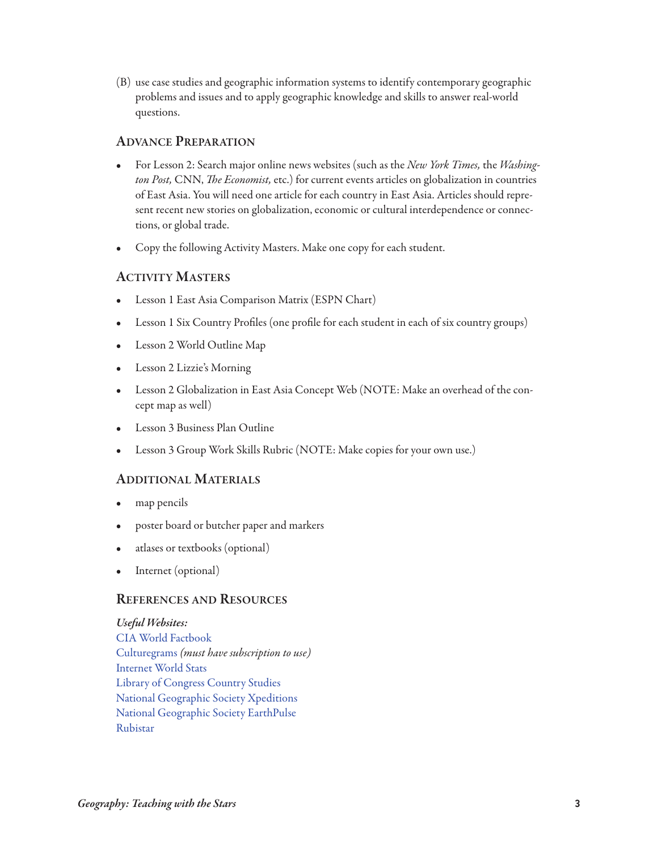(B) use case studies and geographic information systems to identify contemporary geographic problems and issues and to apply geographic knowledge and skills to answer real-world questions.

## **aDvance preparation**

- For Lesson 2: Search major online news websites (such as the New York Times, the Washington Post, CNN, The Economist, etc.) for current events articles on globalization in countries of East Asia. You will need one article for each country in East Asia. Articles should represent recent new stories on globalization, economic or cultural interdependence or connections, or global trade.
- Copy the following Activity Masters. Make one copy for each student.

## **activity Masters**

- Lesson 1 East Asia Comparison Matrix (ESPN Chart)
- Lesson 1 Six Country Profiles (one profile for each student in each of six country groups)
- Lesson 2 World Outline Map
- Lesson 2 Lizzie's Morning
- Lesson 2 Globalization in East Asia Concept Web (NOTE: Make an overhead of the concept map as well)
- Lesson 3 Business Plan Outline
- Lesson 3 Group Work Skills Rubric (NOTE: Make copies for your own use.)

## **aDDitionaL MateriaLs**

- map pencils
- poster board or butcher paper and markers
- atlases or textbooks (optional)
- Internet (optional)

## **references anD resoUrces**

*Useful Websites:* [CIA World Factbook](https://www.cia.gov/library/publications/the-world-factbook/) [Culturegrams](http://www.culturegrams.com/) (must have subscription to use) [Internet World Stats](http://internetworldstats.com/stats.htm) [Library of Congress Country Studies](http://lcweb2.loc.gov/frd/cs/profiles.html) [National Geographic Society Xpeditions](http://www.nationalgeographic.com/xpeditions/) [National Geographic Society EarthPulse](http://www.nationalgeographic.com/earthpulse/) [Rubistar](http://rubistar.4teachers.org/index.php)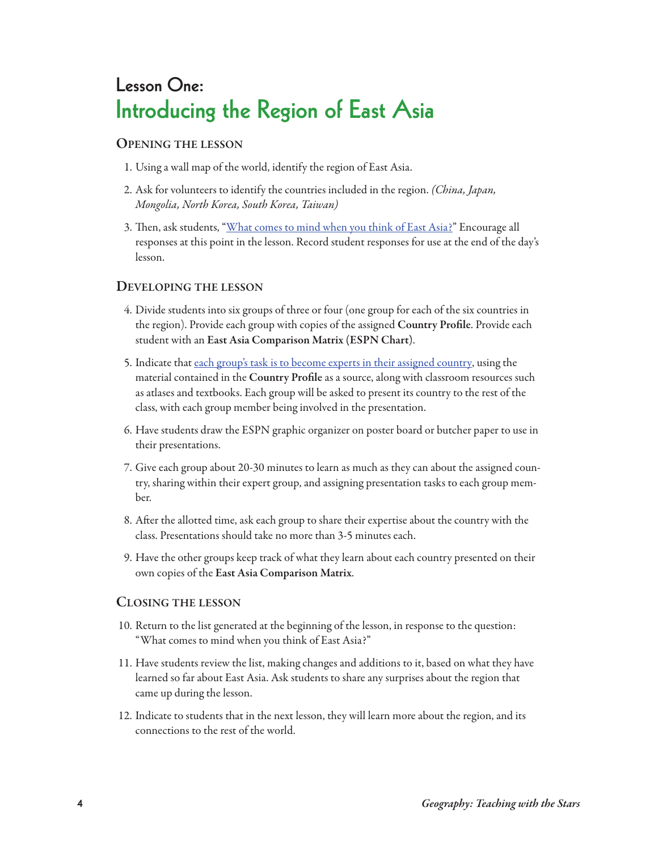## **Lesson One: Introducing the Region of East Asia**

#### **openinG the Lesson**

- 1. Using a wall map of the world, identify the region of East Asia.
- 2. Ask for volunteers to identify the countries included in the region. (China, Japan, Mongolia, North Korea, South Korea, Taiwan)
- 3. Then, ask students, ["What comes to mind when you think of East Asia?"](http://www.geoteach.org/teacher_resources/lessons/video/introduce_east_asia.mp4) Encourage all responses at this point in the lesson. Record student responses for use at the end of the day's lesson.

## **DeveLopinG the Lesson**

- 4. Divide students into six groups of three or four (one group for each of the six countries in the region). Provide each group with copies of the assigned **country profile**. Provide each student with an East Asia Comparison Matrix (ESPN Chart).
- 5. Indicate that [each group's task is to become experts in their assigned country,](http://www.geoteach.org/teacher_resources/lessons/video/espn.mp4) using the material contained in the **country profile** as a source, along with classroom resources such as atlases and textbooks. Each group will be asked to present its country to the rest of the class, with each group member being involved in the presentation.
- 6. Have students draw the ESPN graphic organizer on poster board or butcher paper to use in their presentations.
- 7. Give each group about 20-30 minutes to learn as much as they can about the assigned country, sharing within their expert group, and assigning presentation tasks to each group member.
- 8. After the allotted time, ask each group to share their expertise about the country with the class. Presentations should take no more than 3-5 minutes each.
- 9. Have the other groups keep track of what they learn about each country presented on their own copies of the East Asia Comparison Matrix.

## **cLosinG the Lesson**

- 10. Return to the list generated at the beginning of the lesson, in response to the question: "What comes to mind when you think of East Asia?"
- 11. Have students review the list, making changes and additions to it, based on what they have learned so far about East Asia. Ask students to share any surprises about the region that came up during the lesson.
- 12. Indicate to students that in the next lesson, they will learn more about the region, and its connections to the rest of the world.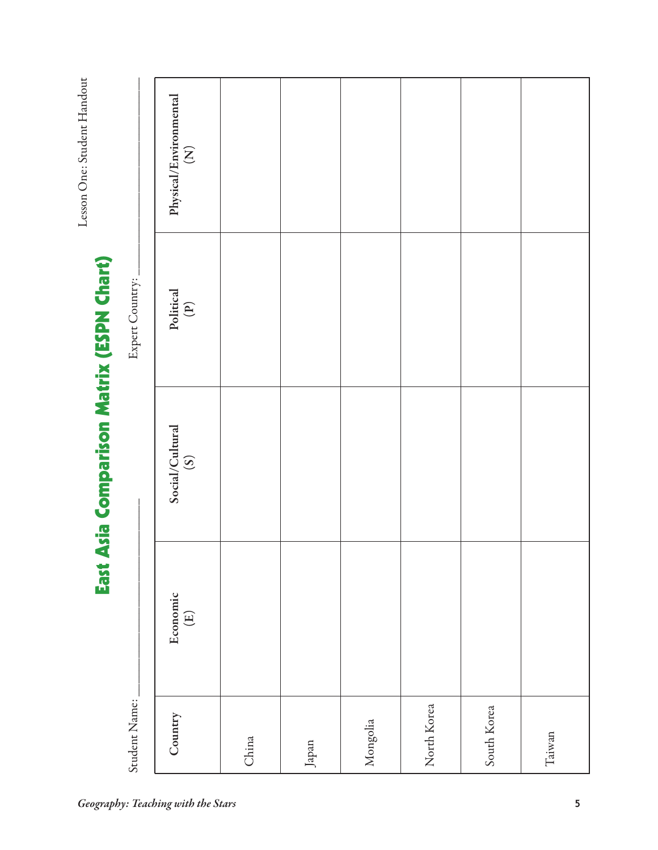Lesson One: Student Handout Lesson One: Student Handout

# East Asia Comparison Matrix (ESPN Chart) **East Asia Comparison Matrix (ESPN Chart)**

Expert Country:

| Expert Country: | ${\rm Physical/Environmental} \label{ex1} \mathrm{[N]}$ |       |       |          |             |             |        |
|-----------------|---------------------------------------------------------|-------|-------|----------|-------------|-------------|--------|
|                 | Political<br>(P)                                        |       |       |          |             |             |        |
|                 | Social/Cultural<br>(S)                                  |       |       |          |             |             |        |
|                 | Economic<br>$\left( \underline{E}\right)$               |       |       |          |             |             |        |
| Student Name:   | Country                                                 | China | Japan | Mongolia | North Korea | South Korea | Taiwan |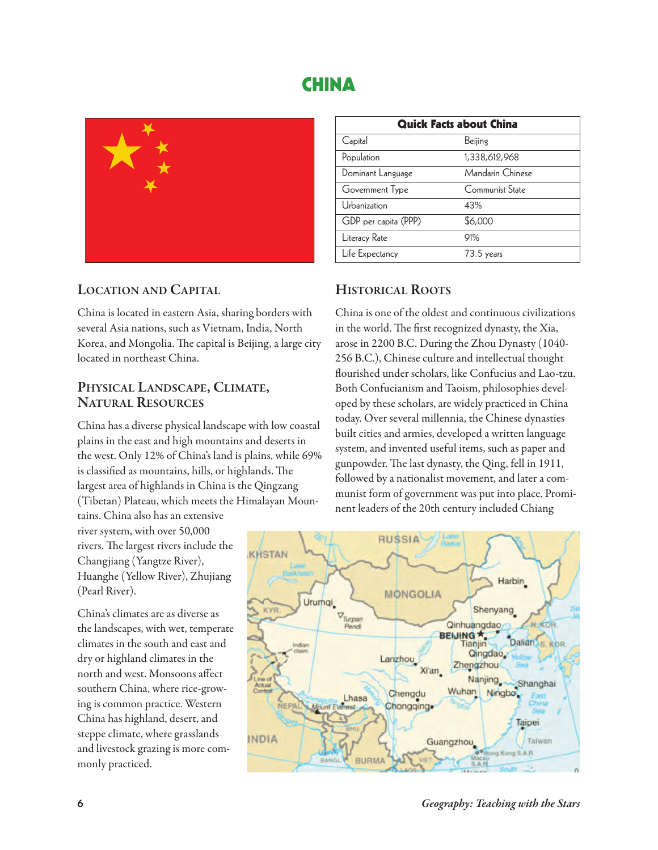## **CHINA**



## **Location anD capitaL**

China is located in eastern Asia, sharing borders with several Asia nations, such as Vietnam, India, North Korea, and Mongolia. The capital is Beijing, a large city located in northeast China.

# **physicaL LanDscape, cLiMate, natUraL resoUrces**

China has a diverse physical landscape with low coastal plains in the east and high mountains and deserts in the west. Only 12% of China's land is plains, while 69% is classified as mountains, hills, or highlands. The largest area of highlands in China is the Qingzang (Tibetan) Plateau, which meets the Himalayan Moun-

tains. China also has an extensive river system, with over 50,000 rivers. The largest rivers include the Changjiang (Yangtze River), Huanghe (Yellow River), Zhujiang (Pearl River).

China's climates are as diverse as the landscapes, with wet, temperate climates in the south and east and dry or highland climates in the north and west. Monsoons affect southern China, where rice-growing is common practice. Western China has highland, desert, and steppe climate, where grasslands and livestock grazing is more commonly practiced.

| <b>Quick Facts about China</b> |                  |  |  |
|--------------------------------|------------------|--|--|
| Capital                        | Beijing          |  |  |
| Population                     | 1,338,612,968    |  |  |
| Dominant Language              | Mandarin Chinese |  |  |
| Government Type                | Communist State  |  |  |
| Urbanization                   | 43%              |  |  |
| GDP per capita (PPP)           | \$6,000          |  |  |
| Literacy Rate                  | 91%              |  |  |
| Life Expectancy                | $73.5$ years     |  |  |

## **historicaL roots**

China is one of the oldest and continuous civilizations in the world. The first recognized dynasty, the Xia, arose in 2200 B.C. During the Zhou Dynasty (1040- 256 B.C.), Chinese culture and intellectual thought flourished under scholars, like Confucius and Lao-tzu. Both Confucianism and Taoism, philosophies developed by these scholars, are widely practiced in China today. Over several millennia, the Chinese dynasties built cities and armies, developed a written language system, and invented useful items, such as paper and gunpowder. The last dynasty, the Qing, fell in 1911, followed by a nationalist movement, and later a communist form of government was put into place. Prominent leaders of the 20th century included Chiang

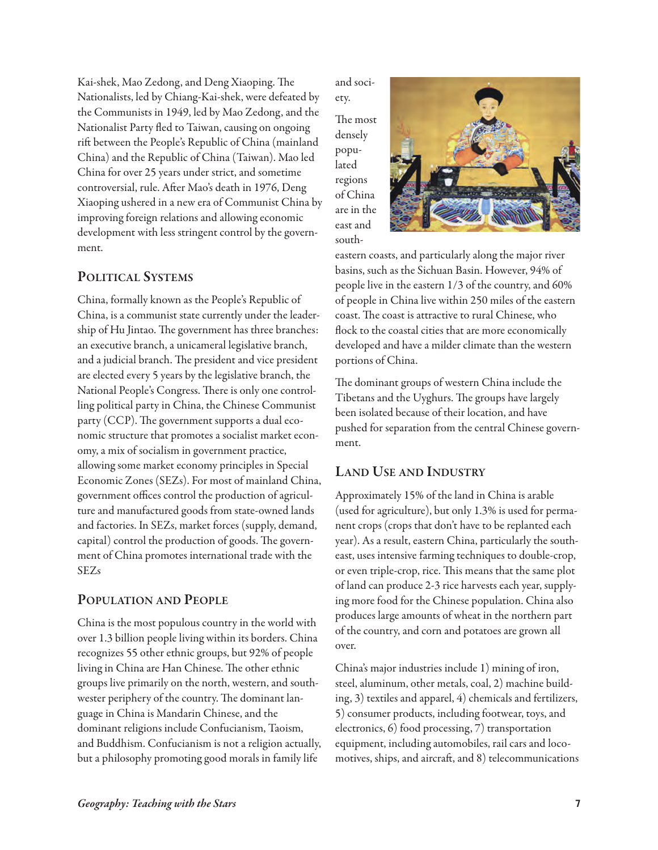Kai-shek, Mao Zedong, and Deng Xiaoping. The Nationalists, led by Chiang-Kai-shek, were defeated by the Communists in 1949, led by Mao Zedong, and the Nationalist Party fled to Taiwan, causing on ongoing rift between the People's Republic of China (mainland China) and the Republic of China (Taiwan). Mao led China for over 25 years under strict, and sometime controversial, rule. After Mao's death in 1976, Deng Xiaoping ushered in a new era of Communist China by improving foreign relations and allowing economic development with less stringent control by the government.

## **poLiticaL systeMs**

China, formally known as the People's Republic of China, is a communist state currently under the leadership of Hu Jintao. The government has three branches: an executive branch, a unicameral legislative branch, and a judicial branch. The president and vice president are elected every 5 years by the legislative branch, the National People's Congress. There is only one controlling political party in China, the Chinese Communist party (CCP). The government supports a dual economic structure that promotes a socialist market economy, a mix of socialism in government practice, allowing some market economy principles in Special Economic Zones (SEZs). For most of mainland China, government offices control the production of agriculture and manufactured goods from state-owned lands and factories. In SEZs, market forces (supply, demand, capital) control the production of goods. The government of China promotes international trade with the SEZs

## **popULation anD peopLe**

China is the most populous country in the world with over 1.3 billion people living within its borders. China recognizes 55 other ethnic groups, but 92% of people living in China are Han Chinese. The other ethnic groups live primarily on the north, western, and southwester periphery of the country. The dominant language in China is Mandarin Chinese, and the dominant religions include Confucianism, Taoism, and Buddhism. Confucianism is not a religion actually, but a philosophy promoting good morals in family life

and society.

The most densely populated regions of China are in the east and south-



eastern coasts, and particularly along the major river basins, such as the Sichuan Basin. However, 94% of people live in the eastern 1/3 of the country, and 60% of people in China live within 250 miles of the eastern coast. The coast is attractive to rural Chinese, who flock to the coastal cities that are more economically developed and have a milder climate than the western portions of China.

The dominant groups of western China include the Tibetans and the Uyghurs. The groups have largely been isolated because of their location, and have pushed for separation from the central Chinese government.

## **LanD Use anD inDUstry**

Approximately 15% of the land in China is arable (used for agriculture), but only 1.3% is used for permanent crops (crops that don't have to be replanted each year). As a result, eastern China, particularly the southeast, uses intensive farming techniques to double-crop, or even triple-crop, rice. This means that the same plot of land can produce 2-3 rice harvests each year, supplying more food for the Chinese population. China also produces large amounts of wheat in the northern part of the country, and corn and potatoes are grown all over.

China's major industries include 1) mining of iron, steel, aluminum, other metals, coal, 2) machine building, 3) textiles and apparel, 4) chemicals and fertilizers, 5) consumer products, including footwear, toys, and electronics, 6) food processing, 7) transportation equipment, including automobiles, rail cars and locomotives, ships, and aircraft, and  $8$ ) telecommunications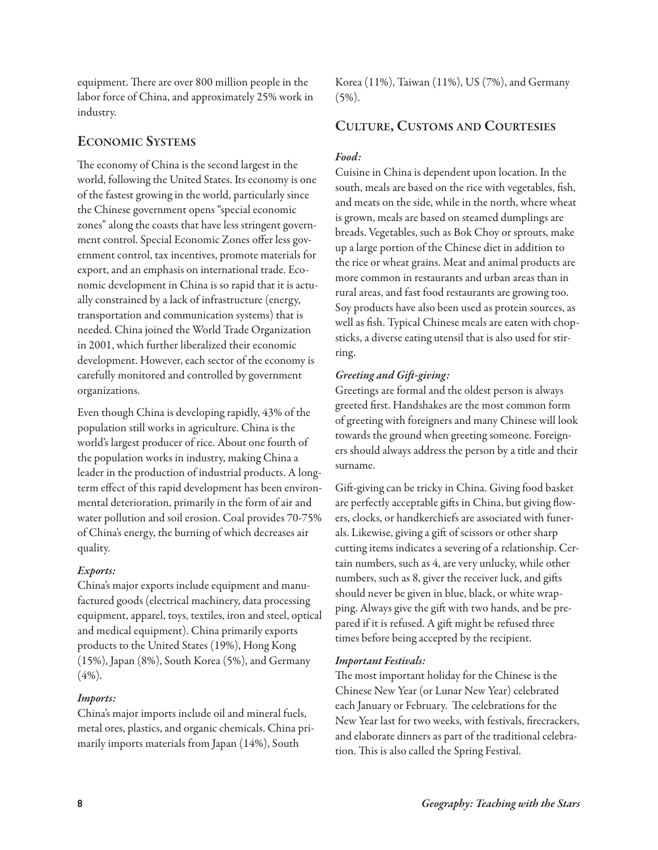equipment. There are over 800 million people in the labor force of China, and approximately 25% work in industry.

## **econoMic systeMs**

The economy of China is the second largest in the world, following the United States. Its economy is one of the fastest growing in the world, particularly since the Chinese government opens "special economic zones" along the coasts that have less stringent government control. Special Economic Zones offer less government control, tax incentives, promote materials for export, and an emphasis on international trade. Economic development in China is so rapid that it is actually constrained by a lack of infrastructure (energy, transportation and communication systems) that is needed. China joined the World Trade Organization in 2001, which further liberalized their economic development. However, each sector of the economy is carefully monitored and controlled by government organizations.

Even though China is developing rapidly, 43% of the population still works in agriculture. China is the world's largest producer of rice. About one fourth of the population works in industry, making China a leader in the production of industrial products. A longterm effect of this rapid development has been environmental deterioration, primarily in the form of air and water pollution and soil erosion. Coal provides 70-75% of China's energy, the burning of which decreases air quality.

## *Exports:*

China's major exports include equipment and manufactured goods (electrical machinery, data processing equipment, apparel, toys, textiles, iron and steel, optical and medical equipment). China primarily exports products to the United States (19%), Hong Kong (15%), Japan (8%), South Korea (5%), and Germany (4%).

## *Imports:*

China's major imports include oil and mineral fuels, metal ores, plastics, and organic chemicals. China primarily imports materials from Japan (14%), South

Korea (11%), Taiwan (11%), US (7%), and Germany  $(5\%)$ .

## **cULtUre, cUstoMs anD coUrtesies**

## *Food:*

Cuisine in China is dependent upon location. In the south, meals are based on the rice with vegetables, fish, and meats on the side, while in the north, where wheat is grown, meals are based on steamed dumplings are breads. Vegetables, such as Bok Choy or sprouts, make up a large portion of the Chinese diet in addition to the rice or wheat grains. Meat and animal products are more common in restaurants and urban areas than in rural areas, and fast food restaurants are growing too. Soy products have also been used as protein sources, as well as fish. Typical Chinese meals are eaten with chopsticks, a diverse eating utensil that is also used for stirring.

## *Greeting and Gift-giving:*

Greetings are formal and the oldest person is always greeted first. Handshakes are the most common form of greeting with foreigners and many Chinese will look towards the ground when greeting someone. Foreigners should always address the person by a title and their surname.

Gift-giving can be tricky in China. Giving food basket are perfectly acceptable gifts in China, but giving flowers, clocks, or handkerchiefs are associated with funerals. Likewise, giving a gift of scissors or other sharp cutting items indicates a severing of a relationship. Certain numbers, such as 4, are very unlucky, while other numbers, such as 8, giver the receiver luck, and gifts should never be given in blue, black, or white wrapping. Always give the gift with two hands, and be prepared if it is refused. A gift might be refused three times before being accepted by the recipient.

## *Important Festivals:*

The most important holiday for the Chinese is the Chinese New Year (or Lunar New Year) celebrated each January or February. The celebrations for the New Year last for two weeks, with festivals, firecrackers, and elaborate dinners as part of the traditional celebration. This is also called the Spring Festival.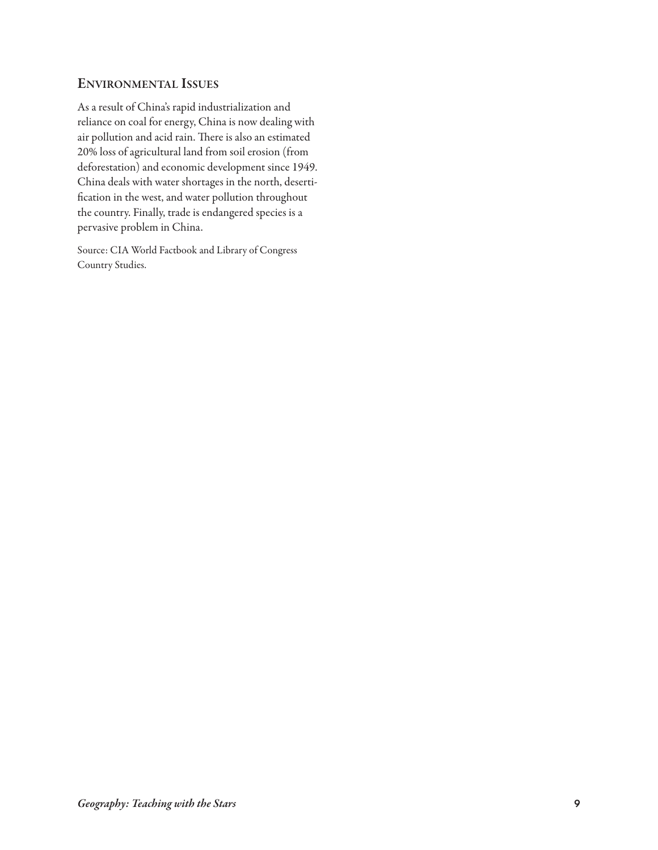## **environMentaL issUes**

As a result of China's rapid industrialization and reliance on coal for energy, China is now dealing with air pollution and acid rain. There is also an estimated 20% loss of agricultural land from soil erosion (from deforestation) and economic development since 1949. China deals with water shortages in the north, desertification in the west, and water pollution throughout the country. Finally, trade is endangered species is a pervasive problem in China.

Source: CIA World Factbook and Library of Congress Country Studies.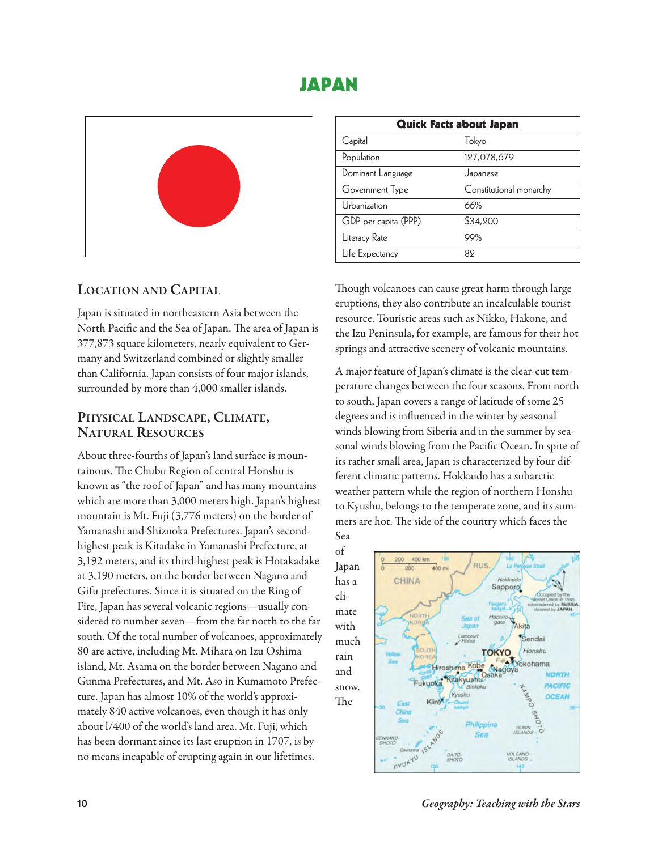## **JAPAN**



## **Location anD capitaL**

Japan is situated in northeastern Asia between the North Pacific and the Sea of Japan. The area of Japan is 377,873 square kilometers, nearly equivalent to Germany and Switzerland combined or slightly smaller than California. Japan consists of four major islands, surrounded by more than 4,000 smaller islands.

# **physicaL LanDscape, cLiMate, natUraL resoUrces**

About three-fourths of Japan's land surface is mountainous. The Chubu Region of central Honshu is known as "the roof of Japan" and has many mountains which are more than 3,000 meters high. Japan's highest mountain is Mt. Fuji (3,776 meters) on the border of Yamanashi and Shizuoka Prefectures. Japan's secondhighest peak is Kitadake in Yamanashi Prefecture, at 3,192 meters, and its third-highest peak is Hotakadake at 3,190 meters, on the border between Nagano and Gifu prefectures. Since it is situated on the Ring of Fire, Japan has several volcanic regions—usually considered to number seven—from the far north to the far south. Of the total number of volcanoes, approximately 80 are active, including Mt. Mihara on Izu Oshima island, Mt. Asama on the border between Nagano and Gunma Prefectures, and Mt. Aso in Kumamoto Prefecture. Japan has almost 10% of the world's approximately 840 active volcanoes, even though it has only about l/400 of the world's land area. Mt. Fuji, which has been dormant since its last eruption in 1707, is by no means incapable of erupting again in our lifetimes.

| <b>Quick Facts about Japan</b> |                         |  |  |
|--------------------------------|-------------------------|--|--|
| Capital                        | Tokyo                   |  |  |
| Population                     | 127,078,679             |  |  |
| Dominant Language              | Japanese                |  |  |
| Government Type                | Constitutional monarchy |  |  |
| Urbanization                   | 66%                     |  |  |
| GDP per capita (PPP)           | \$34,200                |  |  |
| Literacy Rate                  | 99%                     |  |  |
| Life Expectancy                | 89                      |  |  |

Though volcanoes can cause great harm through large eruptions, they also contribute an incalculable tourist resource. Touristic areas such as Nikko, Hakone, and the Izu Peninsula, for example, are famous for their hot springs and attractive scenery of volcanic mountains.

A major feature of Japan's climate is the clear-cut temperature changes between the four seasons. From north to south, Japan covers a range of latitude of some 25 degrees and is influenced in the winter by seasonal winds blowing from Siberia and in the summer by seasonal winds blowing from the Pacific Ocean. In spite of its rather small area, Japan is characterized by four different climatic patterns. Hokkaido has a subarctic weather pattern while the region of northern Honshu to Kyushu, belongs to the temperate zone, and its summers are hot. The side of the country which faces the

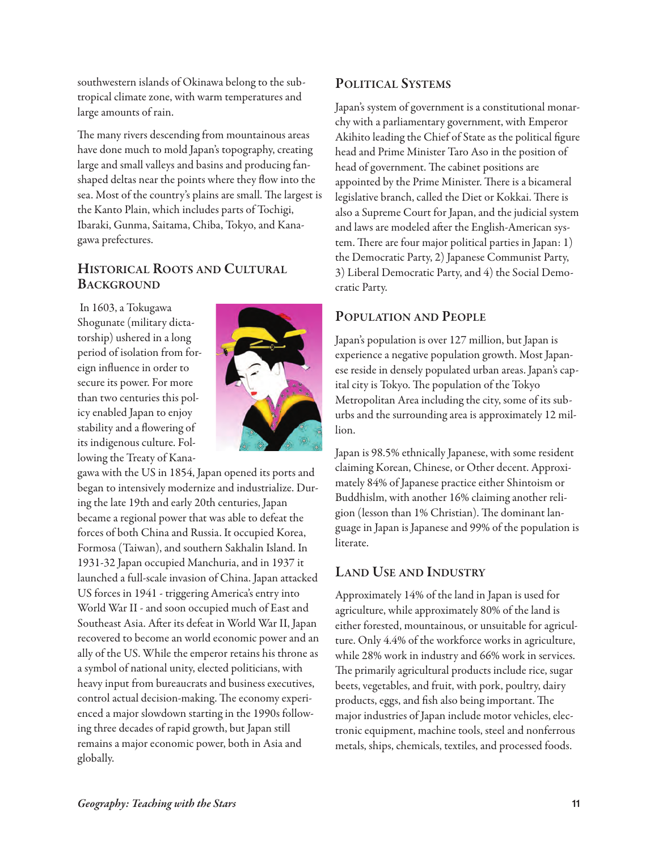southwestern islands of Okinawa belong to the subtropical climate zone, with warm temperatures and large amounts of rain.

The many rivers descending from mountainous areas have done much to mold Japan's topography, creating large and small valleys and basins and producing fanshaped deltas near the points where they flow into the sea. Most of the country's plains are small. The largest is the Kanto Plain, which includes parts of Tochigi, Ibaraki, Gunma, Saitama, Chiba, Tokyo, and Kanagawa prefectures.

## **historicaL roots anD cULtUraL bacKGroUnD**

In 1603, a Tokugawa Shogunate (military dictatorship) ushered in a long period of isolation from foreign influence in order to secure its power. For more than two centuries this policy enabled Japan to enjoy stability and a flowering of its indigenous culture. Following the Treaty of Kana-



gawa with the US in 1854, Japan opened its ports and began to intensively modernize and industrialize. During the late 19th and early 20th centuries, Japan became a regional power that was able to defeat the forces of both China and Russia. It occupied Korea, Formosa (Taiwan), and southern Sakhalin Island. In 1931-32 Japan occupied Manchuria, and in 1937 it launched a full-scale invasion of China. Japan attacked US forces in 1941 - triggering America's entry into World War II - and soon occupied much of East and Southeast Asia. After its defeat in World War II, Japan recovered to become an world economic power and an ally of the US. While the emperor retains his throne as a symbol of national unity, elected politicians, with heavy input from bureaucrats and business executives, control actual decision-making. The economy experienced a major slowdown starting in the 1990s following three decades of rapid growth, but Japan still remains a major economic power, both in Asia and globally.

## **poLiticaL systeMs**

Japan's system of government is a constitutional monarchy with a parliamentary government, with Emperor Akihito leading the Chief of State as the political figure head and Prime Minister Taro Aso in the position of head of government. The cabinet positions are appointed by the Prime Minister. There is a bicameral legislative branch, called the Diet or Kokkai. There is also a Supreme Court for Japan, and the judicial system and laws are modeled after the English-American system. There are four major political parties in Japan: 1) the Democratic Party, 2) Japanese Communist Party, 3) Liberal Democratic Party, and 4) the Social Democratic Party.

## **popULation anD peopLe**

Japan's population is over 127 million, but Japan is experience a negative population growth. Most Japanese reside in densely populated urban areas. Japan's capital city is Tokyo. The population of the Tokyo Metropolitan Area including the city, some of its suburbs and the surrounding area is approximately 12 million.

Japan is 98.5% ethnically Japanese, with some resident claiming Korean, Chinese, or Other decent. Approximately 84% of Japanese practice either Shintoism or Buddhislm, with another 16% claiming another religion (lesson than 1% Christian). The dominant language in Japan is Japanese and 99% of the population is literate.

## **LanD Use anD inDUstry**

Approximately 14% of the land in Japan is used for agriculture, while approximately 80% of the land is either forested, mountainous, or unsuitable for agriculture. Only 4.4% of the workforce works in agriculture, while 28% work in industry and 66% work in services. The primarily agricultural products include rice, sugar beets, vegetables, and fruit, with pork, poultry, dairy products, eggs, and fish also being important. The major industries of Japan include motor vehicles, electronic equipment, machine tools, steel and nonferrous metals, ships, chemicals, textiles, and processed foods.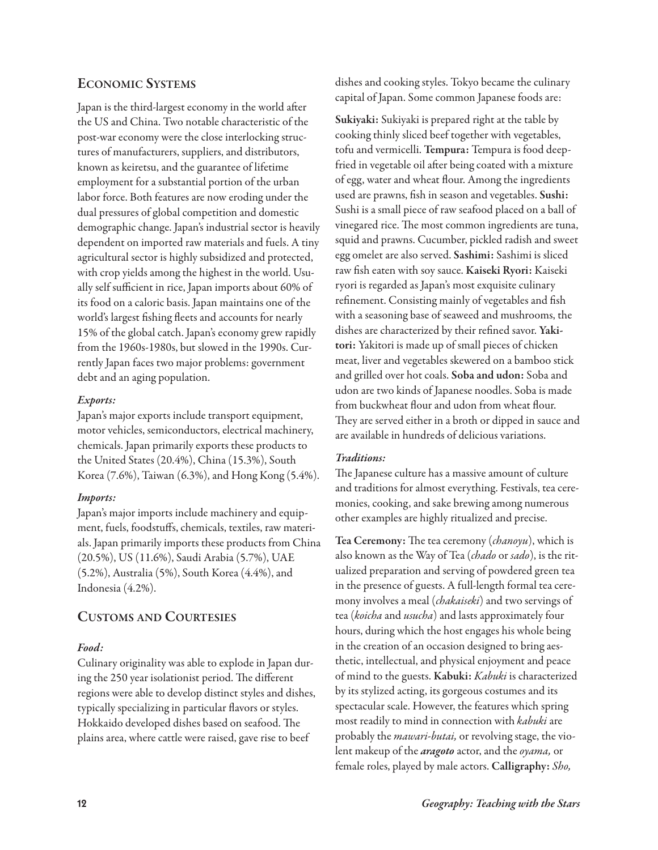## **econoMic systeMs**

Japan is the third-largest economy in the world after the US and China. Two notable characteristic of the post-war economy were the close interlocking structures of manufacturers, suppliers, and distributors, known as keiretsu, and the guarantee of lifetime employment for a substantial portion of the urban labor force. Both features are now eroding under the dual pressures of global competition and domestic demographic change. Japan's industrial sector is heavily dependent on imported raw materials and fuels. A tiny agricultural sector is highly subsidized and protected, with crop yields among the highest in the world. Usually self sufficient in rice, Japan imports about 60% of its food on a caloric basis. Japan maintains one of the world's largest fishing fleets and accounts for nearly 15% of the global catch. Japan's economy grew rapidly from the 1960s-1980s, but slowed in the 1990s. Currently Japan faces two major problems: government debt and an aging population.

#### *Exports:*

Japan's major exports include transport equipment, motor vehicles, semiconductors, electrical machinery, chemicals. Japan primarily exports these products to the United States (20.4%), China (15.3%), South Korea (7.6%), Taiwan (6.3%), and Hong Kong (5.4%).

#### *Imports:*

Japan's major imports include machinery and equipment, fuels, foodstuffs, chemicals, textiles, raw materials. Japan primarily imports these products from China (20.5%), US (11.6%), Saudi Arabia (5.7%), UAE (5.2%), Australia (5%), South Korea (4.4%), and Indonesia (4.2%).

## **cUstoMs anD coUrtesies**

#### *Food:*

Culinary originality was able to explode in Japan during the 250 year isolationist period. The different regions were able to develop distinct styles and dishes, typically specializing in particular flavors or styles. Hokkaido developed dishes based on seafood. The plains area, where cattle were raised, gave rise to beef

dishes and cooking styles. Tokyo became the culinary capital of Japan. Some common Japanese foods are:

**sukiyaki:** Sukiyaki is prepared right at the table by cooking thinly sliced beef together with vegetables, tofu and vermicelli. **tempura:** Tempura is food deepfried in vegetable oil after being coated with a mixture of egg, water and wheat flour. Among the ingredients used are prawns, fish in season and vegetables. **sushi:** Sushi is a small piece of raw seafood placed on a ball of vinegared rice. The most common ingredients are tuna, squid and prawns. Cucumber, pickled radish and sweet egg omelet are also served. **sashimi:** Sashimi is sliced raw fish eaten with soy sauce. **Kaiseki ryori:** Kaiseki ryori is regarded as Japan's most exquisite culinary refinement. Consisting mainly of vegetables and fish with a seasoning base of seaweed and mushrooms, the dishes are characterized by their refined savor. **yakitori:** Yakitori is made up of small pieces of chicken meat, liver and vegetables skewered on a bamboo stick and grilled over hot coals. **soba and udon:** Soba and udon are two kinds of Japanese noodles. Soba is made from buckwheat flour and udon from wheat flour. They are served either in a broth or dipped in sauce and are available in hundreds of delicious variations.

#### *Traditions:*

The Japanese culture has a massive amount of culture and traditions for almost everything. Festivals, tea ceremonies, cooking, and sake brewing among numerous other examples are highly ritualized and precise.

Tea Ceremony: The tea ceremony (chanoyu), which is also known as the Way of Tea (chado or sado), is the ritualized preparation and serving of powdered green tea in the presence of guests. A full-length formal tea ceremony involves a meal (*chakaiseki*) and two servings of tea (koicha and usucha) and lasts approximately four hours, during which the host engages his whole being in the creation of an occasion designed to bring aesthetic, intellectual, and physical enjoyment and peace of mind to the guests. **Kabuki:** Kabuki is characterized by its stylized acting, its gorgeous costumes and its spectacular scale. However, the features which spring most readily to mind in connection with kabuki are probably the *mawari-butai*, or revolving stage, the violent makeup of the *aragoto* actor, and the oyama, or female roles, played by male actors. **calligraphy:** Sho,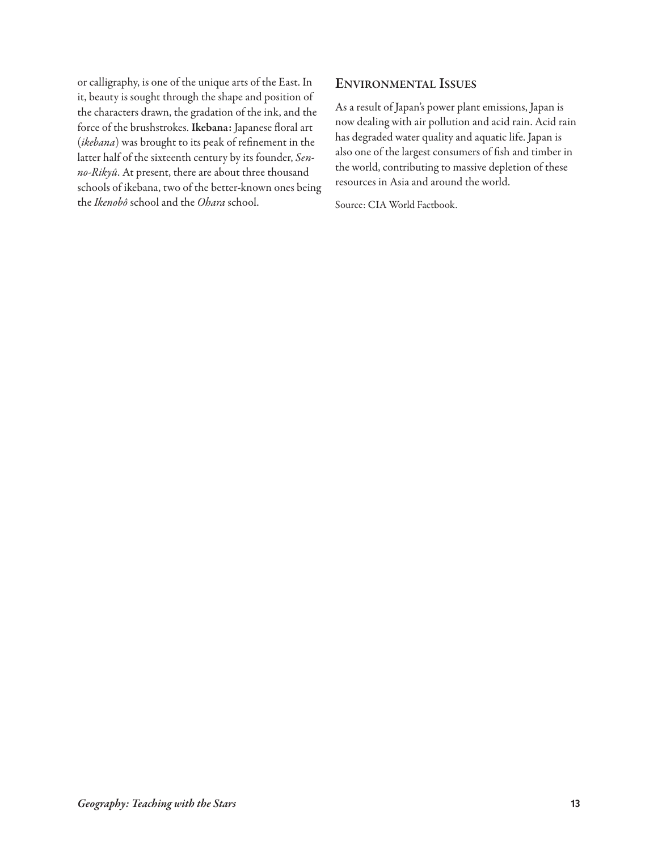or calligraphy, is one of the unique arts of the East. In it, beauty is sought through the shape and position of the characters drawn, the gradation of the ink, and the force of the brushstrokes. **ikebana:** Japanese floral art (ikebana) was brought to its peak of refinement in the latter half of the sixteenth century by its founder, Senno-Rikyû. At present, there are about three thousand schools of ikebana, two of the better-known ones being the Ikenobô school and the Ohara school.

## **environMentaL issUes**

As a result of Japan's power plant emissions, Japan is now dealing with air pollution and acid rain. Acid rain has degraded water quality and aquatic life. Japan is also one of the largest consumers of fish and timber in the world, contributing to massive depletion of these resources in Asia and around the world.

Source: CIA World Factbook.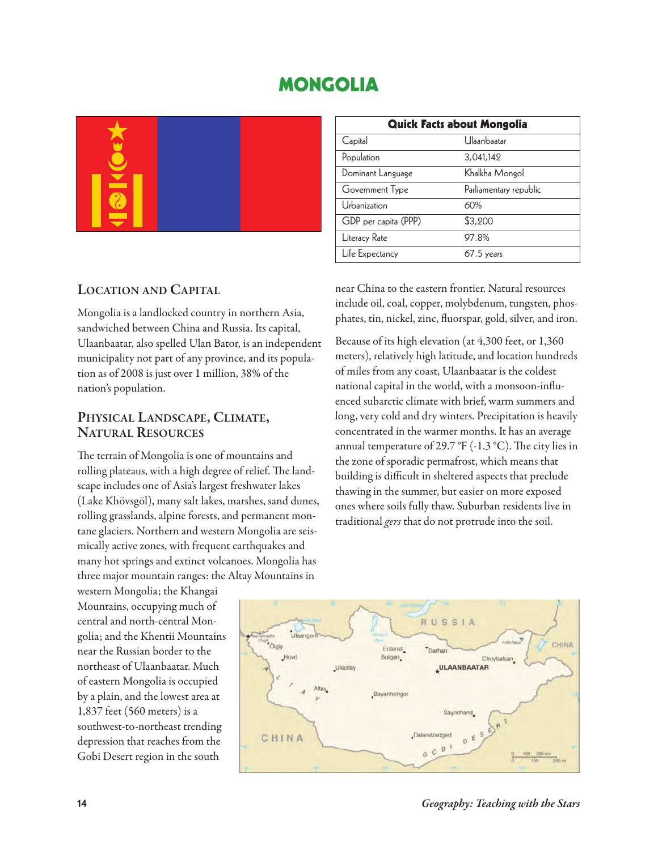## **MONGOLIA**

| Quick Facts about Mongolia |                        |  |  |  |
|----------------------------|------------------------|--|--|--|
| Capital                    | Ulaanbaatar            |  |  |  |
| Population                 | 3,041,142              |  |  |  |
| Dominant Language          | Khalkha Mongol         |  |  |  |
| Government Type            | Parliamentary republic |  |  |  |
| Urbanization               | 60%                    |  |  |  |
| GDP per capita (PPP)       | \$3,200                |  |  |  |
| Literacy Rate              | 97.8%                  |  |  |  |
| Life Expectancy            | $67.5$ years           |  |  |  |

## **Location anD capitaL**

Mongolia is a landlocked country in northern Asia, sandwiched between China and Russia. Its capital, Ulaanbaatar, also spelled Ulan Bator, is an independent municipality not part of any province, and its population as of 2008 is just over 1 million, 38% of the nation's population.

# **physicaL LanDscape, cLiMate, natUraL resoUrces**

The terrain of Mongolia is one of mountains and rolling plateaus, with a high degree of relief. The landscape includes one of Asia's largest freshwater lakes (Lake Khövsgöl), many salt lakes, marshes, sand dunes, rolling grasslands, alpine forests, and permanent montane glaciers. Northern and western Mongolia are seismically active zones, with frequent earthquakes and many hot springs and extinct volcanoes. Mongolia has three major mountain ranges: the Altay Mountains in

western Mongolia; the Khangai Mountains, occupying much of central and north-central Mongolia; and the Khentii Mountains near the Russian border to the northeast of Ulaanbaatar. Much of eastern Mongolia is occupied by a plain, and the lowest area at 1,837 feet (560 meters) is a southwest-to-northeast trending depression that reaches from the Gobi Desert region in the south

near China to the eastern frontier. Natural resources include oil, coal, copper, molybdenum, tungsten, phosphates, tin, nickel, zinc, fluorspar, gold, silver, and iron.

Because of its high elevation (at 4,300 feet, or 1,360 meters), relatively high latitude, and location hundreds of miles from any coast, Ulaanbaatar is the coldest national capital in the world, with a monsoon-influenced subarctic climate with brief, warm summers and long, very cold and dry winters. Precipitation is heavily concentrated in the warmer months. It has an average annual temperature of 29.7 °F (-1.3 °C). The city lies in the zone of sporadic permafrost, which means that building is difficult in sheltered aspects that preclude thawing in the summer, but easier on more exposed ones where soils fully thaw. Suburban residents live in traditional gers that do not protrude into the soil.



**14** *Geography: Teaching with the Stars*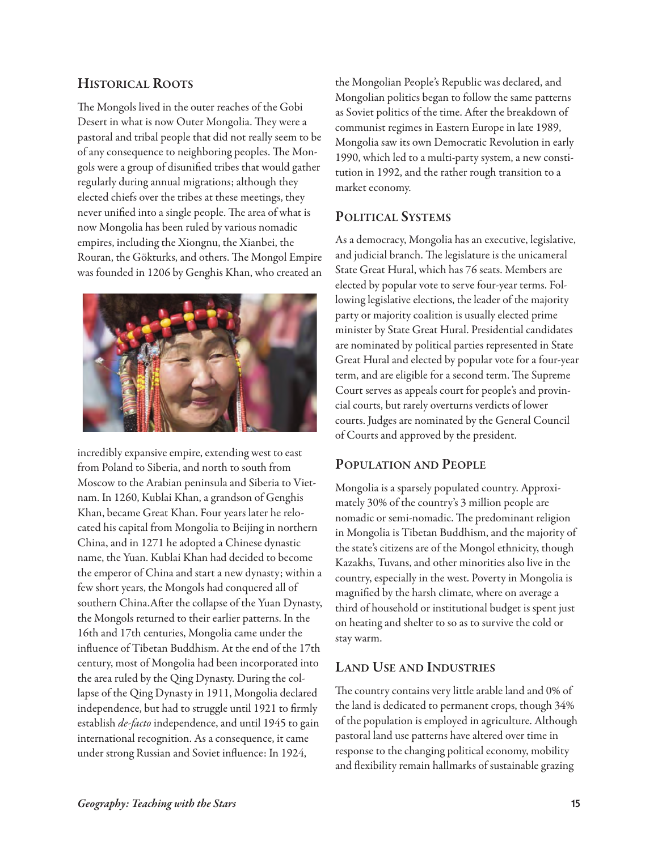## **historicaL roots**

The Mongols lived in the outer reaches of the Gobi Desert in what is now Outer Mongolia. They were a pastoral and tribal people that did not really seem to be of any consequence to neighboring peoples. The Mongols were a group of disunified tribes that would gather regularly during annual migrations; although they elected chiefs over the tribes at these meetings, they never unified into a single people. The area of what is now Mongolia has been ruled by various nomadic empires, including the Xiongnu, the Xianbei, the Rouran, the Gökturks, and others. The Mongol Empire was founded in 1206 by Genghis Khan, who created an



incredibly expansive empire, extending west to east from Poland to Siberia, and north to south from Moscow to the Arabian peninsula and Siberia to Vietnam. In 1260, Kublai Khan, a grandson of Genghis Khan, became Great Khan. Four years later he relocated his capital from Mongolia to Beijing in northern China, and in 1271 he adopted a Chinese dynastic name, the Yuan. Kublai Khan had decided to become the emperor of China and start a new dynasty; within a few short years, the Mongols had conquered all of southern China. After the collapse of the Yuan Dynasty, the Mongols returned to their earlier patterns. In the 16th and 17th centuries, Mongolia came under the influence of Tibetan Buddhism. At the end of the 17th century, most of Mongolia had been incorporated into the area ruled by the Qing Dynasty. During the collapse of the Qing Dynasty in 1911, Mongolia declared independence, but had to struggle until 1921 to firmly establish *de-facto* independence, and until 1945 to gain international recognition. As a consequence, it came under strong Russian and Soviet influence: In 1924,

the Mongolian People's Republic was declared, and Mongolian politics began to follow the same patterns as Soviet politics of the time. After the breakdown of communist regimes in Eastern Europe in late 1989, Mongolia saw its own Democratic Revolution in early 1990, which led to a multi-party system, a new constitution in 1992, and the rather rough transition to a market economy.

## **poLiticaL systeMs**

As a democracy, Mongolia has an executive, legislative, and judicial branch. The legislature is the unicameral State Great Hural, which has 76 seats. Members are elected by popular vote to serve four-year terms. Following legislative elections, the leader of the majority party or majority coalition is usually elected prime minister by State Great Hural. Presidential candidates are nominated by political parties represented in State Great Hural and elected by popular vote for a four-year term, and are eligible for a second term. The Supreme Court serves as appeals court for people's and provincial courts, but rarely overturns verdicts of lower courts. Judges are nominated by the General Council of Courts and approved by the president.

## **popULation anD peopLe**

Mongolia is a sparsely populated country. Approximately 30% of the country's 3 million people are nomadic or semi-nomadic. The predominant religion in Mongolia is Tibetan Buddhism, and the majority of the state's citizens are of the Mongol ethnicity, though Kazakhs, Tuvans, and other minorities also live in the country, especially in the west. Poverty in Mongolia is magnified by the harsh climate, where on average a third of household or institutional budget is spent just on heating and shelter to so as to survive the cold or stay warm.

## **LanD Use anD inDUstries**

The country contains very little arable land and 0% of the land is dedicated to permanent crops, though 34% of the population is employed in agriculture. Although pastoral land use patterns have altered over time in response to the changing political economy, mobility and flexibility remain hallmarks of sustainable grazing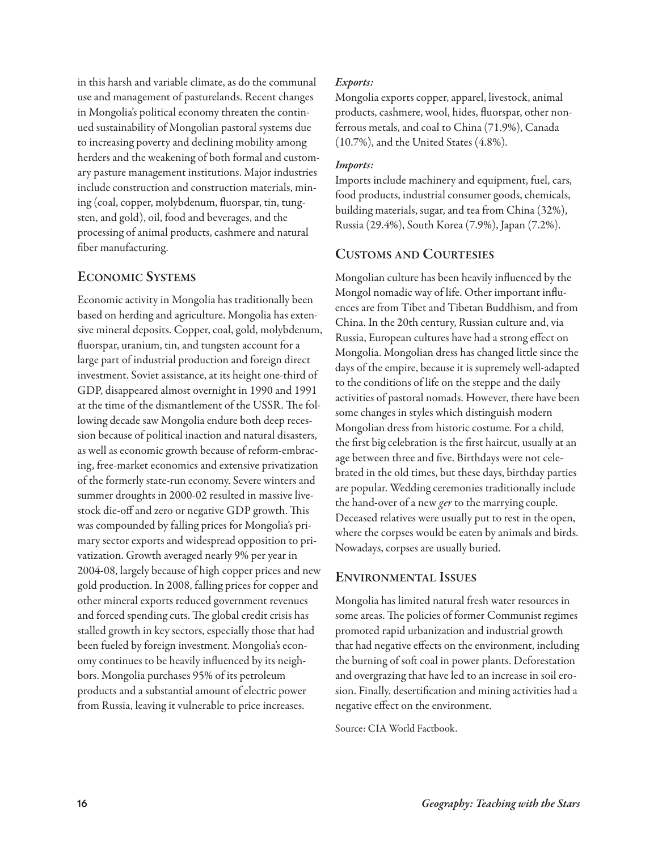in this harsh and variable climate, as do the communal use and management of pasturelands. Recent changes in Mongolia's political economy threaten the continued sustainability of Mongolian pastoral systems due to increasing poverty and declining mobility among herders and the weakening of both formal and customary pasture management institutions. Major industries include construction and construction materials, mining (coal, copper, molybdenum, fluorspar, tin, tungsten, and gold), oil, food and beverages, and the processing of animal products, cashmere and natural fiber manufacturing.

## **econoMic systeMs**

Economic activity in Mongolia has traditionally been based on herding and agriculture. Mongolia has extensive mineral deposits. Copper, coal, gold, molybdenum, fluorspar, uranium, tin, and tungsten account for a large part of industrial production and foreign direct investment. Soviet assistance, at its height one-third of GDP, disappeared almost overnight in 1990 and 1991 at the time of the dismantlement of the USSR. The following decade saw Mongolia endure both deep recession because of political inaction and natural disasters, as well as economic growth because of reform-embracing, free-market economics and extensive privatization of the formerly state-run economy. Severe winters and summer droughts in 2000-02 resulted in massive livestock die-off and zero or negative GDP growth. This was compounded by falling prices for Mongolia's primary sector exports and widespread opposition to privatization. Growth averaged nearly 9% per year in 2004-08, largely because of high copper prices and new gold production. In 2008, falling prices for copper and other mineral exports reduced government revenues and forced spending cuts. The global credit crisis has stalled growth in key sectors, especially those that had been fueled by foreign investment. Mongolia's economy continues to be heavily influenced by its neighbors. Mongolia purchases 95% of its petroleum products and a substantial amount of electric power from Russia, leaving it vulnerable to price increases.

## *Exports:*

Mongolia exports copper, apparel, livestock, animal products, cashmere, wool, hides, fluorspar, other nonferrous metals, and coal to China (71.9%), Canada (10.7%), and the United States (4.8%).

#### *Imports:*

Imports include machinery and equipment, fuel, cars, food products, industrial consumer goods, chemicals, building materials, sugar, and tea from China (32%), Russia (29.4%), South Korea (7.9%), Japan (7.2%).

## **cUstoMs anD coUrtesies**

Mongolian culture has been heavily influenced by the Mongol nomadic way of life. Other important influences are from Tibet and Tibetan Buddhism, and from China. In the 20th century, Russian culture and, via Russia, European cultures have had a strong effect on Mongolia. Mongolian dress has changed little since the days of the empire, because it is supremely well-adapted to the conditions of life on the steppe and the daily activities of pastoral nomads. However, there have been some changes in styles which distinguish modern Mongolian dress from historic costume. For a child, the first big celebration is the first haircut, usually at an age between three and five. Birthdays were not celebrated in the old times, but these days, birthday parties are popular. Wedding ceremonies traditionally include the hand-over of a new ger to the marrying couple. Deceased relatives were usually put to rest in the open, where the corpses would be eaten by animals and birds. Nowadays, corpses are usually buried.

## **environMentaL issUes**

Mongolia has limited natural fresh water resources in some areas. The policies of former Communist regimes promoted rapid urbanization and industrial growth that had negative effects on the environment, including the burning of soft coal in power plants. Deforestation and overgrazing that have led to an increase in soil erosion. Finally, desertification and mining activities had a negative effect on the environment.

Source: CIA World Factbook.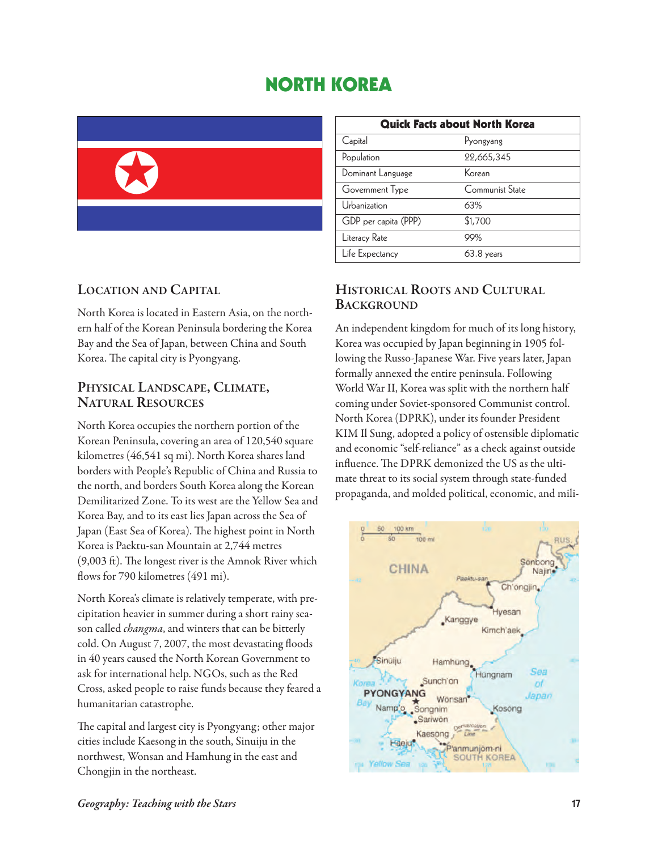## **NORTH KOREA**



| <b>Quick Facts about North Korea</b> |                 |  |  |
|--------------------------------------|-----------------|--|--|
| Capital                              | Pyongyang       |  |  |
| Population                           | 22,665,345      |  |  |
| Dominant Language                    | Korean          |  |  |
| Government Type                      | Communist State |  |  |
| Urbanization                         | 63%             |  |  |
| GDP per capita (PPP)                 | \$1,700         |  |  |
| Literacy Rate                        | 99%             |  |  |
| Life Expectancy                      | 63.8 years      |  |  |

## **Location anD capitaL**

North Korea is located in Eastern Asia, on the northern half of the Korean Peninsula bordering the Korea Bay and the Sea of Japan, between China and South Korea. The capital city is Pyongyang.

# **physicaL LanDscape, cLiMate, natUraL resoUrces**

North Korea occupies the northern portion of the Korean Peninsula, covering an area of 120,540 square kilometres (46,541 sq mi). North Korea shares land borders with People's Republic of China and Russia to the north, and borders South Korea along the Korean Demilitarized Zone. To its west are the Yellow Sea and Korea Bay, and to its east lies Japan across the Sea of Japan (East Sea of Korea). The highest point in North Korea is Paektu-san Mountain at 2,744 metres  $(9,003 \text{ ft})$ . The longest river is the Amnok River which flows for 790 kilometres (491 mi).

North Korea's climate is relatively temperate, with precipitation heavier in summer during a short rainy season called *changma*, and winters that can be bitterly cold. On August 7, 2007, the most devastating floods in 40 years caused the North Korean Government to ask for international help. NGOs, such as the Red Cross, asked people to raise funds because they feared a humanitarian catastrophe.

The capital and largest city is Pyongyang; other major cities include Kaesong in the south, Sinuiju in the northwest, Wonsan and Hamhung in the east and Chongjin in the northeast.

## **historicaL roots anD cULtUraL bacKGroUnD**

An independent kingdom for much of its long history, Korea was occupied by Japan beginning in 1905 following the Russo-Japanese War. Five years later, Japan formally annexed the entire peninsula. Following World War II, Korea was split with the northern half coming under Soviet-sponsored Communist control. North Korea (DPRK), under its founder President KIM Il Sung, adopted a policy of ostensible diplomatic and economic "self-reliance" as a check against outside influence. The DPRK demonized the US as the ultimate threat to its social system through state-funded propaganda, and molded political, economic, and mili-

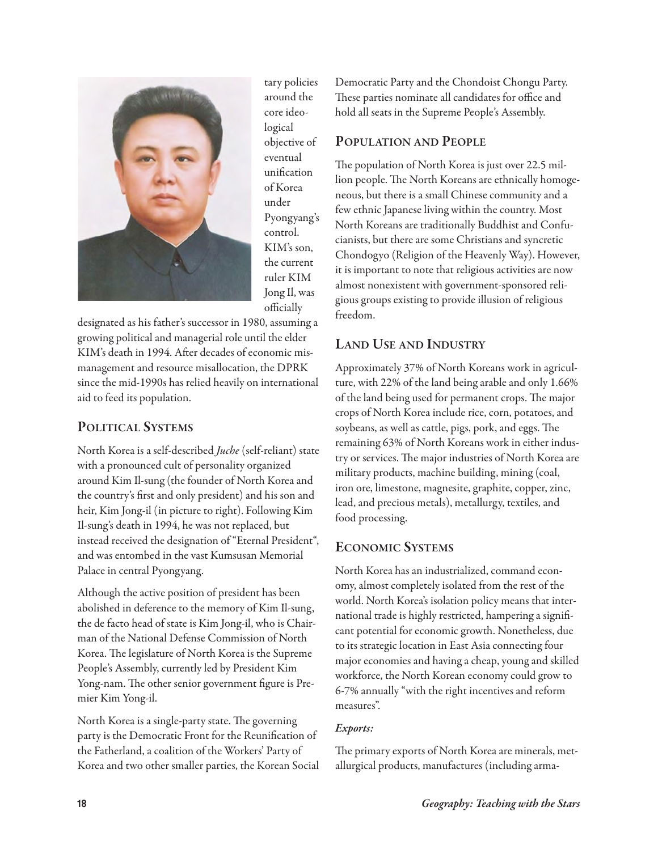

tary policies around the core ideological objective of eventual unification of Korea under Pyongyang's control. KIM's son, the current ruler KIM Jong Il, was officially

designated as his father's successor in 1980, assuming a growing political and managerial role until the elder KIM's death in 1994. After decades of economic mismanagement and resource misallocation, the DPRK since the mid-1990s has relied heavily on international aid to feed its population.

## **poLiticaL systeMs**

North Korea is a self-described Juche (self-reliant) state with a pronounced cult of personality organized around Kim Il-sung (the founder of North Korea and the country's first and only president) and his son and heir, Kim Jong-il (in picture to right). Following Kim Il-sung's death in 1994, he was not replaced, but instead received the designation of "Eternal President", and was entombed in the vast Kumsusan Memorial Palace in central Pyongyang.

Although the active position of president has been abolished in deference to the memory of Kim Il-sung, the de facto head of state is Kim Jong-il, who is Chairman of the National Defense Commission of North Korea. The legislature of North Korea is the Supreme People's Assembly, currently led by President Kim Yong-nam. The other senior government figure is Premier Kim Yong-il.

North Korea is a single-party state. The governing party is the Democratic Front for the Reunification of the Fatherland, a coalition of the Workers' Party of Korea and two other smaller parties, the Korean Social

Democratic Party and the Chondoist Chongu Party. These parties nominate all candidates for office and hold all seats in the Supreme People's Assembly.

## **popULation anD peopLe**

The population of North Korea is just over 22.5 million people. The North Koreans are ethnically homogeneous, but there is a small Chinese community and a few ethnic Japanese living within the country. Most North Koreans are traditionally Buddhist and Confucianists, but there are some Christians and syncretic Chondogyo (Religion of the Heavenly Way). However, it is important to note that religious activities are now almost nonexistent with government-sponsored religious groups existing to provide illusion of religious freedom.

## **LanD Use anD inDUstry**

Approximately 37% of North Koreans work in agriculture, with 22% of the land being arable and only 1.66% of the land being used for permanent crops. The major crops of North Korea include rice, corn, potatoes, and soybeans, as well as cattle, pigs, pork, and eggs. The remaining 63% of North Koreans work in either industry or services. The major industries of North Korea are military products, machine building, mining (coal, iron ore, limestone, magnesite, graphite, copper, zinc, lead, and precious metals), metallurgy, textiles, and food processing.

## **econoMic systeMs**

North Korea has an industrialized, command economy, almost completely isolated from the rest of the world. North Korea's isolation policy means that international trade is highly restricted, hampering a significant potential for economic growth. Nonetheless, due to its strategic location in East Asia connecting four major economies and having a cheap, young and skilled workforce, the North Korean economy could grow to 6-7% annually "with the right incentives and reform measures".

## *Exports:*

The primary exports of North Korea are minerals, metallurgical products, manufactures (including arma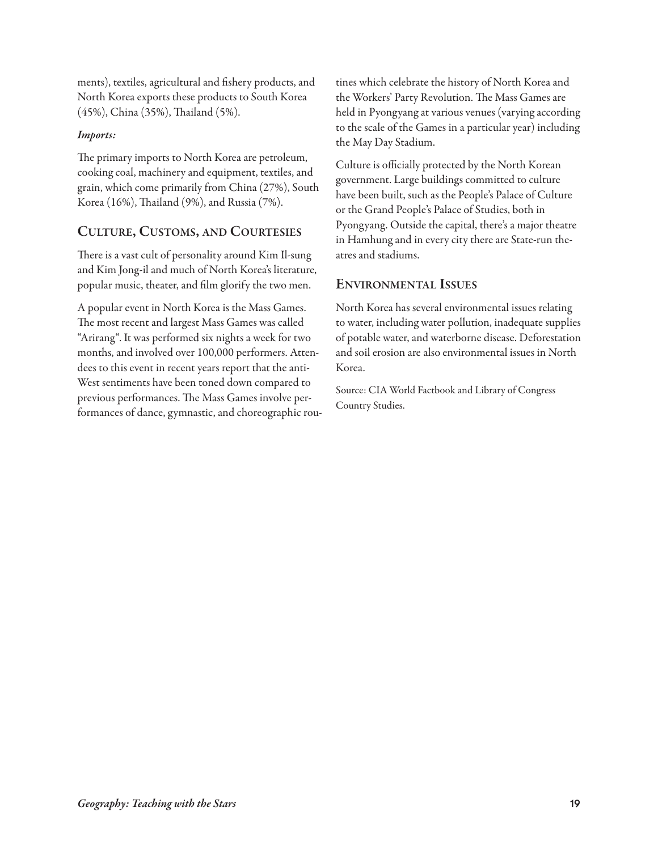ments), textiles, agricultural and fishery products, and North Korea exports these products to South Korea (45%), China (35%), Thailand (5%).

#### *Imports:*

The primary imports to North Korea are petroleum, cooking coal, machinery and equipment, textiles, and grain, which come primarily from China (27%), South Korea (16%), Thailand (9%), and Russia (7%).

## **cULtUre, cUstoMs, anD coUrtesies**

There is a vast cult of personality around Kim Il-sung and Kim Jong-il and much of North Korea's literature, popular music, theater, and film glorify the two men.

A popular event in North Korea is the Mass Games. The most recent and largest Mass Games was called "Arirang". It was performed six nights a week for two months, and involved over 100,000 performers. Attendees to this event in recent years report that the anti-West sentiments have been toned down compared to previous performances. The Mass Games involve performances of dance, gymnastic, and choreographic routines which celebrate the history of North Korea and the Workers' Party Revolution. The Mass Games are held in Pyongyang at various venues (varying according to the scale of the Games in a particular year) including the May Day Stadium.

Culture is officially protected by the North Korean government. Large buildings committed to culture have been built, such as the People's Palace of Culture or the Grand People's Palace of Studies, both in Pyongyang. Outside the capital, there's a major theatre in Hamhung and in every city there are State-run theatres and stadiums.

## **environMentaL issUes**

North Korea has several environmental issues relating to water, including water pollution, inadequate supplies of potable water, and waterborne disease. Deforestation and soil erosion are also environmental issues in North Korea.

Source: CIA World Factbook and Library of Congress Country Studies.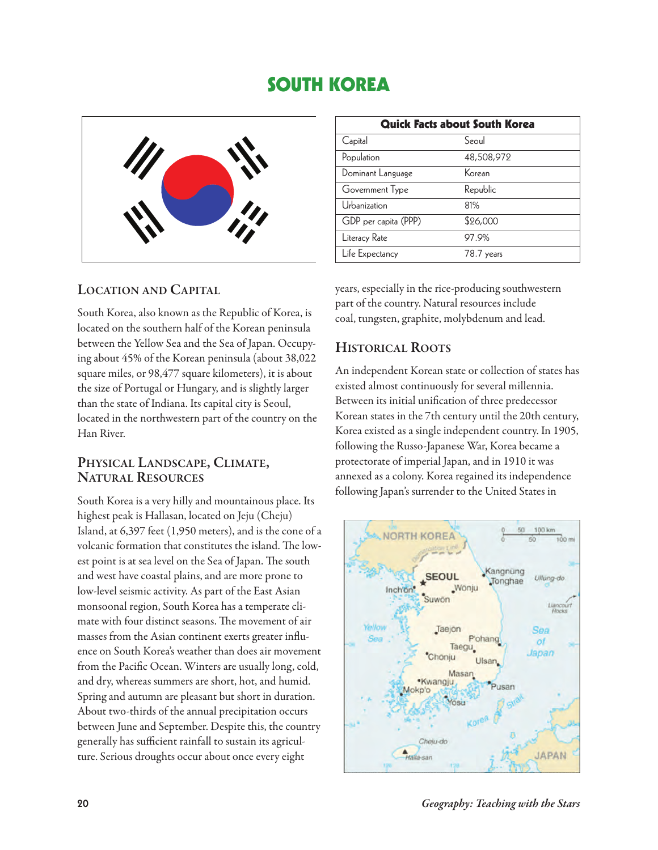## **SOUTH KOREA**



## **Location anD capitaL**

South Korea, also known as the Republic of Korea, is located on the southern half of the Korean peninsula between the Yellow Sea and the Sea of Japan. Occupying about 45% of the Korean peninsula (about 38,022 square miles, or 98,477 square kilometers), it is about the size of Portugal or Hungary, and is slightly larger than the state of Indiana. Its capital city is Seoul, located in the northwestern part of the country on the Han River.

## **physicaL LanDscape, cLiMate, natUraL resoUrces**

South Korea is a very hilly and mountainous place. Its highest peak is Hallasan, located on Jeju (Cheju) Island, at 6,397 feet (1,950 meters), and is the cone of a volcanic formation that constitutes the island. The lowest point is at sea level on the Sea of Japan. The south and west have coastal plains, and are more prone to low-level seismic activity. As part of the East Asian monsoonal region, South Korea has a temperate climate with four distinct seasons. The movement of air masses from the Asian continent exerts greater influence on South Korea's weather than does air movement from the Pacific Ocean. Winters are usually long, cold, and dry, whereas summers are short, hot, and humid. Spring and autumn are pleasant but short in duration. About two-thirds of the annual precipitation occurs between June and September. Despite this, the country generally has sufficient rainfall to sustain its agriculture. Serious droughts occur about once every eight

| <b>Quick Facts about South Korea</b> |            |  |  |
|--------------------------------------|------------|--|--|
| Capital                              | Seoul      |  |  |
| Population                           | 48,508,972 |  |  |
| Dominant Language                    | Korean     |  |  |
| Government Type                      | Republic   |  |  |
| Urbanization                         | 81%        |  |  |
| GDP per capita (PPP)                 | \$26,000   |  |  |
| Literacy Rate                        | 97.9%      |  |  |
| Life Expectancy                      | 78.7 years |  |  |

years, especially in the rice-producing southwestern part of the country. Natural resources include coal, tungsten, graphite, molybdenum and lead.

## **historicaL roots**

An independent Korean state or collection of states has existed almost continuously for several millennia. Between its initial unification of three predecessor Korean states in the 7th century until the 20th century, Korea existed as a single independent country. In 1905, following the Russo-Japanese War, Korea became a protectorate of imperial Japan, and in 1910 it was annexed as a colony. Korea regained its independence following Japan's surrender to the United States in

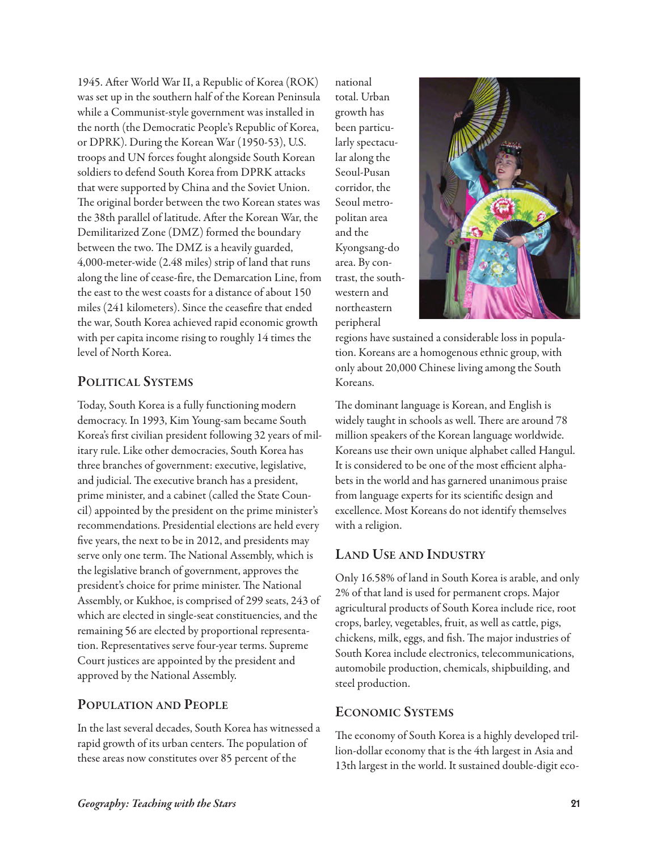1945. After World War II, a Republic of Korea (ROK) was set up in the southern half of the Korean Peninsula while a Communist-style government was installed in the north (the Democratic People's Republic of Korea, or DPRK). During the Korean War (1950-53), U.S. troops and UN forces fought alongside South Korean soldiers to defend South Korea from DPRK attacks that were supported by China and the Soviet Union. The original border between the two Korean states was the 38th parallel of latitude. After the Korean War, the Demilitarized Zone (DMZ) formed the boundary between the two. The DMZ is a heavily guarded, 4,000-meter-wide (2.48 miles) strip of land that runs along the line of cease-fire, the Demarcation Line, from the east to the west coasts for a distance of about 150 miles (241 kilometers). Since the ceasefire that ended the war, South Korea achieved rapid economic growth with per capita income rising to roughly 14 times the level of North Korea.

## **poLiticaL systeMs**

Today, South Korea is a fully functioning modern democracy. In 1993, Kim Young-sam became South Korea's first civilian president following 32 years of military rule. Like other democracies, South Korea has three branches of government: executive, legislative, and judicial. The executive branch has a president, prime minister, and a cabinet (called the State Council) appointed by the president on the prime minister's recommendations. Presidential elections are held every five years, the next to be in 2012, and presidents may serve only one term. The National Assembly, which is the legislative branch of government, approves the president's choice for prime minister. The National Assembly, or Kukhoe, is comprised of 299 seats, 243 of which are elected in single-seat constituencies, and the remaining 56 are elected by proportional representation. Representatives serve four-year terms. Supreme Court justices are appointed by the president and approved by the National Assembly.

## **popULation anD peopLe**

In the last several decades, South Korea has witnessed a rapid growth of its urban centers. The population of these areas now constitutes over 85 percent of the

national total. Urban growth has been particularly spectacular along the Seoul-Pusan corridor, the Seoul metropolitan area and the Kyongsang-do area. By contrast, the southwestern and northeastern peripheral



regions have sustained a considerable loss in population. Koreans are a homogenous ethnic group, with only about 20,000 Chinese living among the South Koreans.

The dominant language is Korean, and English is widely taught in schools as well. There are around 78 million speakers of the Korean language worldwide. Koreans use their own unique alphabet called Hangul. It is considered to be one of the most efficient alphabets in the world and has garnered unanimous praise from language experts for its scientific design and excellence. Most Koreans do not identify themselves with a religion.

## **LanD Use anD inDUstry**

Only 16.58% of land in South Korea is arable, and only 2% of that land is used for permanent crops. Major agricultural products of South Korea include rice, root crops, barley, vegetables, fruit, as well as cattle, pigs, chickens, milk, eggs, and fish. The major industries of South Korea include electronics, telecommunications, automobile production, chemicals, shipbuilding, and steel production.

## **econoMic systeMs**

The economy of South Korea is a highly developed trillion-dollar economy that is the 4th largest in Asia and 13th largest in the world. It sustained double-digit eco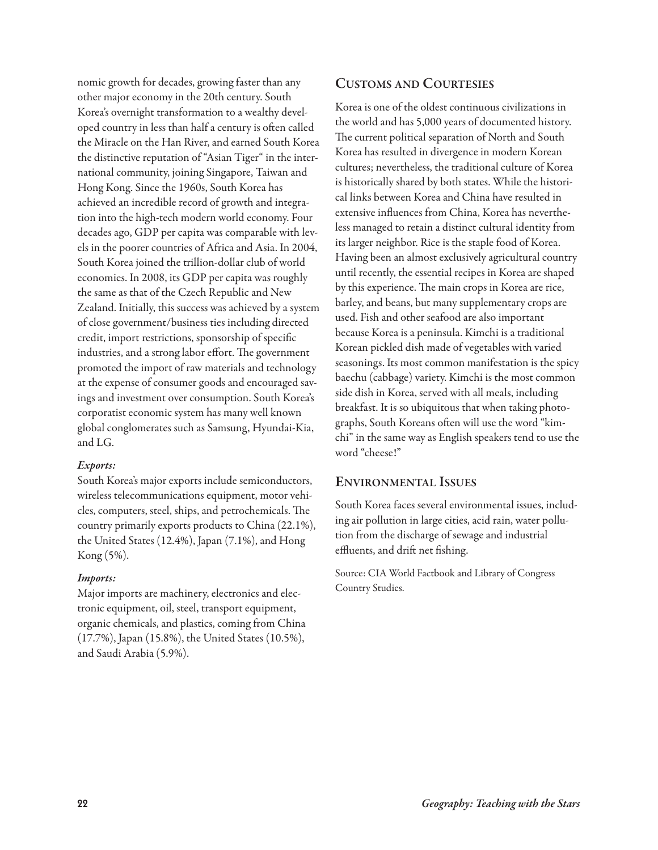nomic growth for decades, growing faster than any other major economy in the 20th century. South Korea's overnight transformation to a wealthy developed country in less than half a century is often called the Miracle on the Han River, and earned South Korea the distinctive reputation of "Asian Tiger" in the international community, joining Singapore, Taiwan and Hong Kong. Since the 1960s, South Korea has achieved an incredible record of growth and integration into the high-tech modern world economy. Four decades ago, GDP per capita was comparable with levels in the poorer countries of Africa and Asia. In 2004, South Korea joined the trillion-dollar club of world economies. In 2008, its GDP per capita was roughly the same as that of the Czech Republic and New Zealand. Initially, this success was achieved by a system of close government/business ties including directed credit, import restrictions, sponsorship of specific industries, and a strong labor effort. The government promoted the import of raw materials and technology at the expense of consumer goods and encouraged savings and investment over consumption. South Korea's corporatist economic system has many well known global conglomerates such as Samsung, Hyundai-Kia, and LG.

#### *Exports:*

South Korea's major exports include semiconductors, wireless telecommunications equipment, motor vehicles, computers, steel, ships, and petrochemicals. The country primarily exports products to China (22.1%), the United States (12.4%), Japan (7.1%), and Hong Kong (5%).

#### *Imports:*

Major imports are machinery, electronics and electronic equipment, oil, steel, transport equipment, organic chemicals, and plastics, coming from China (17.7%), Japan (15.8%), the United States (10.5%), and Saudi Arabia (5.9%).

## **cUstoMs anD coUrtesies**

Korea is one of the oldest continuous civilizations in the world and has 5,000 years of documented history. The current political separation of North and South Korea has resulted in divergence in modern Korean cultures; nevertheless, the traditional culture of Korea is historically shared by both states. While the historical links between Korea and China have resulted in extensive influences from China, Korea has nevertheless managed to retain a distinct cultural identity from its larger neighbor. Rice is the staple food of Korea. Having been an almost exclusively agricultural country until recently, the essential recipes in Korea are shaped by this experience. The main crops in Korea are rice, barley, and beans, but many supplementary crops are used. Fish and other seafood are also important because Korea is a peninsula. Kimchi is a traditional Korean pickled dish made of vegetables with varied seasonings. Its most common manifestation is the spicy baechu (cabbage) variety. Kimchi is the most common side dish in Korea, served with all meals, including breakfast. It is so ubiquitous that when taking photographs, South Koreans often will use the word "kimchi" in the same way as English speakers tend to use the word "cheese!"

#### **environMentaL issUes**

South Korea faces several environmental issues, including air pollution in large cities, acid rain, water pollution from the discharge of sewage and industrial effluents, and drift net fishing.

Source: CIA World Factbook and Library of Congress Country Studies.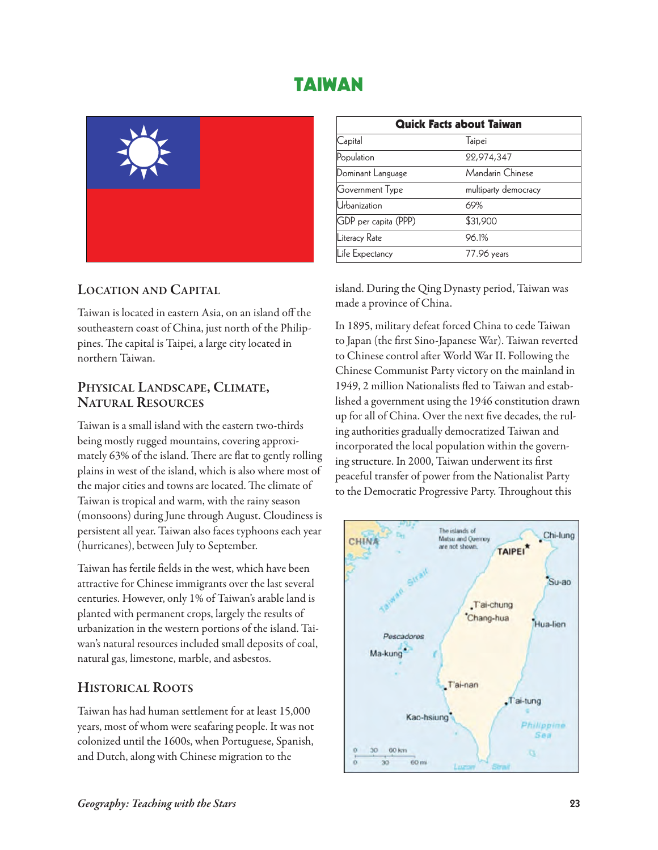## **TAIWAN**



## **Location anD capitaL**

Taiwan is located in eastern Asia, on an island off the southeastern coast of China, just north of the Philippines. The capital is Taipei, a large city located in northern Taiwan.

# **physicaL LanDscape, cLiMate, natUraL resoUrces**

Taiwan is a small island with the eastern two-thirds being mostly rugged mountains, covering approximately 63% of the island. There are flat to gently rolling plains in west of the island, which is also where most of the major cities and towns are located. The climate of Taiwan is tropical and warm, with the rainy season (monsoons) during June through August. Cloudiness is persistent all year. Taiwan also faces typhoons each year (hurricanes), between July to September.

Taiwan has fertile fields in the west, which have been attractive for Chinese immigrants over the last several centuries. However, only 1% of Taiwan's arable land is planted with permanent crops, largely the results of urbanization in the western portions of the island. Taiwan's natural resources included small deposits of coal, natural gas, limestone, marble, and asbestos.

## **historicaL roots**

Taiwan has had human settlement for at least 15,000 years, most of whom were seafaring people. It was not colonized until the 1600s, when Portuguese, Spanish, and Dutch, along with Chinese migration to the

| <b>Quick Facts about Taiwan</b> |                      |  |  |
|---------------------------------|----------------------|--|--|
| Capital                         | Taipei               |  |  |
| Population                      | 22,974,347           |  |  |
| Dominant Language               | Mandarin Chinese     |  |  |
| Government Type                 | multiparty democracy |  |  |
| Urbanization                    | 69%                  |  |  |
| GDP per capita (PPP)            | \$31,900             |  |  |
| Literacy Rate                   | 96.1%                |  |  |
| Life Expectancy                 | 77.96 years          |  |  |

island. During the Qing Dynasty period, Taiwan was made a province of China.

In 1895, military defeat forced China to cede Taiwan to Japan (the first Sino-Japanese War). Taiwan reverted to Chinese control after World War II. Following the Chinese Communist Party victory on the mainland in 1949, 2 million Nationalists fled to Taiwan and established a government using the 1946 constitution drawn up for all of China. Over the next five decades, the ruling authorities gradually democratized Taiwan and incorporated the local population within the governing structure. In 2000, Taiwan underwent its first peaceful transfer of power from the Nationalist Party to the Democratic Progressive Party. Throughout this

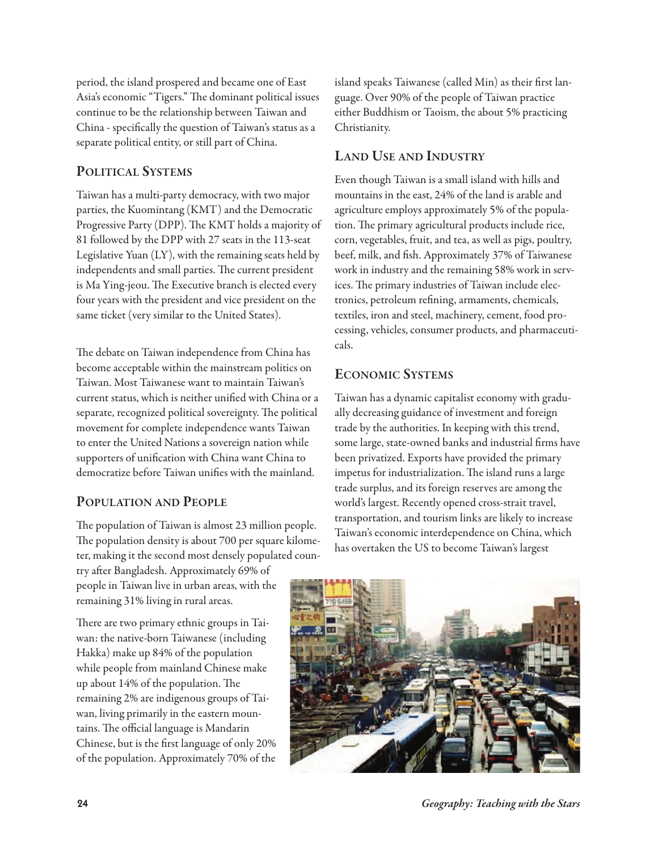period, the island prospered and became one of East Asia's economic "Tigers." The dominant political issues continue to be the relationship between Taiwan and China - specifically the question of Taiwan's status as a separate political entity, or still part of China.

## **poLiticaL systeMs**

Taiwan has a multi-party democracy, with two major parties, the Kuomintang (KMT) and the Democratic Progressive Party (DPP). The KMT holds a majority of 81 followed by the DPP with 27 seats in the 113-seat Legislative Yuan (LY), with the remaining seats held by independents and small parties. The current president is Ma Ying-jeou. The Executive branch is elected every four years with the president and vice president on the same ticket (very similar to the United States).

The debate on Taiwan independence from China has become acceptable within the mainstream politics on Taiwan. Most Taiwanese want to maintain Taiwan's current status, which is neither unified with China or a separate, recognized political sovereignty. The political movement for complete independence wants Taiwan to enter the United Nations a sovereign nation while supporters of unification with China want China to democratize before Taiwan unifies with the mainland.

## **popULation anD peopLe**

The population of Taiwan is almost 23 million people. The population density is about 700 per square kilometer, making it the second most densely populated coun-

try after Bangladesh. Approximately 69% of people in Taiwan live in urban areas, with the remaining 31% living in rural areas.

There are two primary ethnic groups in Taiwan: the native-born Taiwanese (including Hakka) make up 84% of the population while people from mainland Chinese make up about  $14\%$  of the population. The remaining 2% are indigenous groups of Taiwan, living primarily in the eastern mountains. The official language is Mandarin Chinese, but is the first language of only 20% of the population. Approximately 70% of the island speaks Taiwanese (called Min) as their first language. Over 90% of the people of Taiwan practice either Buddhism or Taoism, the about 5% practicing Christianity.

## **LanD Use anD inDUstry**

Even though Taiwan is a small island with hills and mountains in the east, 24% of the land is arable and agriculture employs approximately 5% of the population. The primary agricultural products include rice, corn, vegetables, fruit, and tea, as well as pigs, poultry, beef, milk, and fish. Approximately 37% of Taiwanese work in industry and the remaining 58% work in services. The primary industries of Taiwan include electronics, petroleum refining, armaments, chemicals, textiles, iron and steel, machinery, cement, food processing, vehicles, consumer products, and pharmaceuticals.

## **econoMic systeMs**

Taiwan has a dynamic capitalist economy with gradually decreasing guidance of investment and foreign trade by the authorities. In keeping with this trend, some large, state-owned banks and industrial firms have been privatized. Exports have provided the primary impetus for industrialization. The island runs a large trade surplus, and its foreign reserves are among the world's largest. Recently opened cross-strait travel, transportation, and tourism links are likely to increase Taiwan's economic interdependence on China, which has overtaken the US to become Taiwan's largest



**24** *Geography: Teaching with the Stars*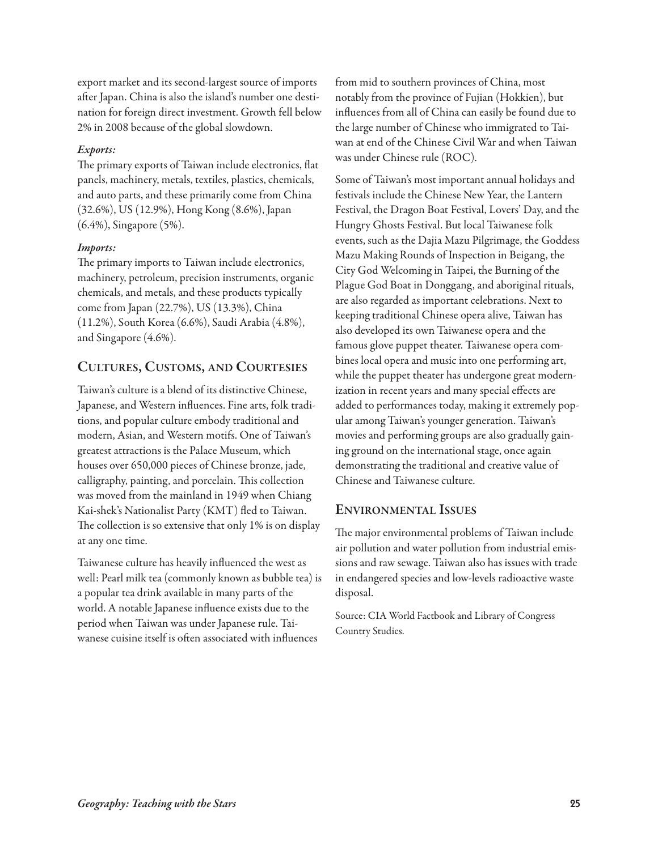export market and its second-largest source of imports after Japan. China is also the island's number one destination for foreign direct investment. Growth fell below 2% in 2008 because of the global slowdown.

#### *Exports:*

The primary exports of Taiwan include electronics, flat panels, machinery, metals, textiles, plastics, chemicals, and auto parts, and these primarily come from China (32.6%), US (12.9%), Hong Kong (8.6%), Japan (6.4%), Singapore (5%).

#### *Imports:*

The primary imports to Taiwan include electronics, machinery, petroleum, precision instruments, organic chemicals, and metals, and these products typically come from Japan (22.7%), US (13.3%), China (11.2%), South Korea (6.6%), Saudi Arabia (4.8%), and Singapore (4.6%).

## **cULtUres, cUstoMs, anD coUrtesies**

Taiwan's culture is a blend of its distinctive Chinese, Japanese, and Western influences. Fine arts, folk traditions, and popular culture embody traditional and modern, Asian, and Western motifs. One of Taiwan's greatest attractions is the Palace Museum, which houses over 650,000 pieces of Chinese bronze, jade, calligraphy, painting, and porcelain. This collection was moved from the mainland in 1949 when Chiang Kai-shek's Nationalist Party (KMT) fled to Taiwan. The collection is so extensive that only 1% is on display at any one time.

Taiwanese culture has heavily influenced the west as well: Pearl milk tea (commonly known as bubble tea) is a popular tea drink available in many parts of the world. A notable Japanese influence exists due to the period when Taiwan was under Japanese rule. Taiwanese cuisine itself is often associated with influences

from mid to southern provinces of China, most notably from the province of Fujian (Hokkien), but influences from all of China can easily be found due to the large number of Chinese who immigrated to Taiwan at end of the Chinese Civil War and when Taiwan was under Chinese rule (ROC).

Some of Taiwan's most important annual holidays and festivals include the Chinese New Year, the Lantern Festival, the Dragon Boat Festival, Lovers' Day, and the Hungry Ghosts Festival. But local Taiwanese folk events, such as the Dajia Mazu Pilgrimage, the Goddess Mazu Making Rounds of Inspection in Beigang, the City God Welcoming in Taipei, the Burning of the Plague God Boat in Donggang, and aboriginal rituals, are also regarded as important celebrations. Next to keeping traditional Chinese opera alive, Taiwan has also developed its own Taiwanese opera and the famous glove puppet theater. Taiwanese opera combines local opera and music into one performing art, while the puppet theater has undergone great modernization in recent years and many special effects are added to performances today, making it extremely popular among Taiwan's younger generation. Taiwan's movies and performing groups are also gradually gaining ground on the international stage, once again demonstrating the traditional and creative value of Chinese and Taiwanese culture.

## **environMentaL issUes**

The major environmental problems of Taiwan include air pollution and water pollution from industrial emissions and raw sewage. Taiwan also has issues with trade in endangered species and low-levels radioactive waste disposal.

Source: CIA World Factbook and Library of Congress Country Studies.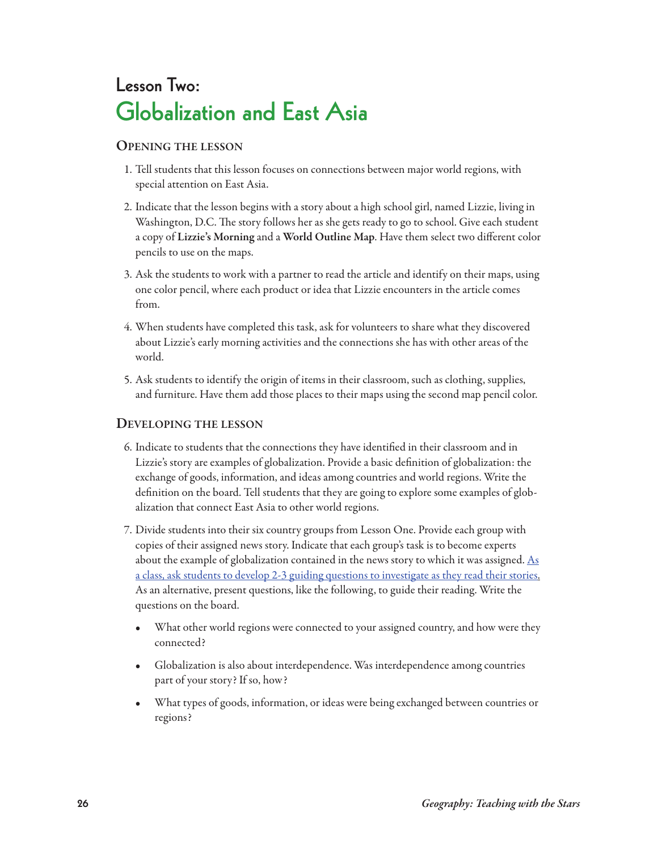## **Lesson Two: Globalization and East Asia**

## **openinG the Lesson**

- 1. Tell students that this lesson focuses on connections between major world regions, with special attention on East Asia.
- 2. Indicate that the lesson begins with a story about a high school girl, named Lizzie, living in Washington, D.C. The story follows her as she gets ready to go to school. Give each student a copy of **Lizzie's Morning** and a **world outline Map**. Have them select two different color pencils to use on the maps.
- 3. Ask the students to work with a partner to read the article and identify on their maps, using one color pencil, where each product or idea that Lizzie encounters in the article comes from.
- 4. When students have completed this task, ask for volunteers to share what they discovered about Lizzie's early morning activities and the connections she has with other areas of the world.
- 5. Ask students to identify the origin of items in their classroom, such as clothing, supplies, and furniture. Have them add those places to their maps using the second map pencil color.

## **DeveLopinG the Lesson**

- 6. Indicate to students that the connections they have identified in their classroom and in Lizzie's story are examples of globalization. Provide a basic definition of globalization: the exchange of goods, information, and ideas among countries and world regions. Write the definition on the board. Tell students that they are going to explore some examples of globalization that connect East Asia to other world regions.
- 7. Divide students into their six country groups from Lesson One. Provide each group with copies of their assigned news story. Indicate that each group's task is to become experts about the example of globalization contained in the news story to which it was assigned.  $\underline{As}$  $\underline{As}$  $\underline{As}$ [a class, ask students to develop 2-3 guiding questions to investigate as they read their stories.](http://www.geoteach.org/teacher_resources/lessons/video/guide_questions.mp4) As an alternative, present questions, like the following, to guide their reading. Write the questions on the board.
	- What other world regions were connected to your assigned country, and how were they connected?
	- Globalization is also about interdependence. Was interdependence among countries part of your story? If so, how?
	- What types of goods, information, or ideas were being exchanged between countries or regions?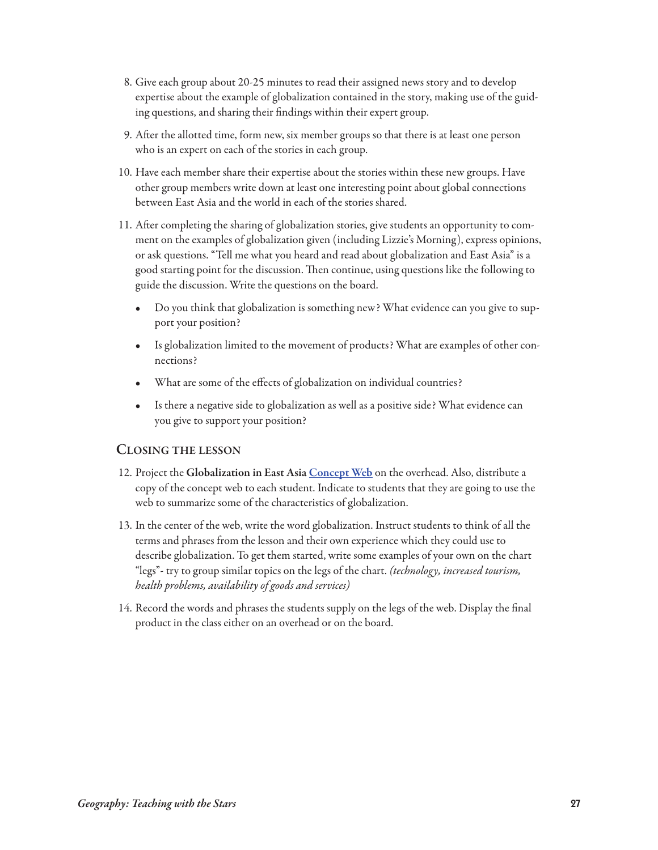- 8. Give each group about 20-25 minutes to read their assigned news story and to develop expertise about the example of globalization contained in the story, making use of the guiding questions, and sharing their findings within their expert group.
- 9. After the allotted time, form new, six member groups so that there is at least one person who is an expert on each of the stories in each group.
- 10. Have each member share their expertise about the stories within these new groups. Have other group members write down at least one interesting point about global connections between East Asia and the world in each of the stories shared.
- 11. After completing the sharing of globalization stories, give students an opportunity to comment on the examples of globalization given (including Lizzie's Morning), express opinions, or ask questions. "Tell me what you heard and read about globalization and East Asia" is a good starting point for the discussion. Then continue, using questions like the following to guide the discussion. Write the questions on the board.
	- Do you think that globalization is something new? What evidence can you give to support your position?
	- Is globalization limited to the movement of products? What are examples of other connections?
	- What are some of the effects of globalization on individual countries?
	- Is there a negative side to globalization as well as a positive side? What evidence can you give to support your position?

## **cLosinG the Lesson**

- 12. Project the **Globalization in east asia [concept web](http://www.geoteach.org/teacher_resources/lessons/video/concept_web.mov)** on the overhead. Also, distribute a copy of the concept web to each student. Indicate to students that they are going to use the web to summarize some of the characteristics of globalization.
- 13. In the center of the web, write the word globalization. Instruct students to think of all the terms and phrases from the lesson and their own experience which they could use to describe globalization. To get them started, write some examples of your own on the chart "legs"- try to group similar topics on the legs of the chart. (technology, increased tourism, health problems, availability of goods and services)
- 14. Record the words and phrases the students supply on the legs of the web. Display the final product in the class either on an overhead or on the board.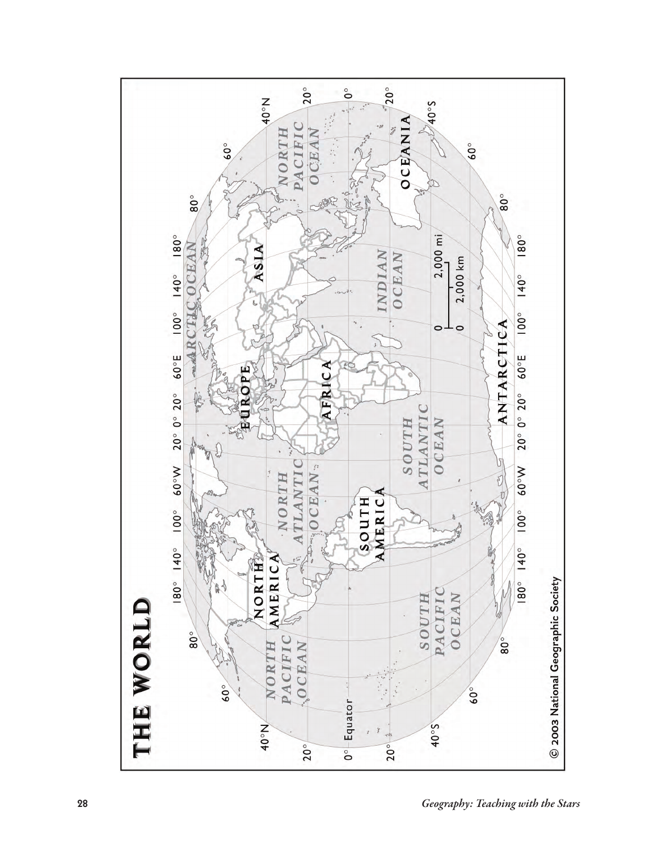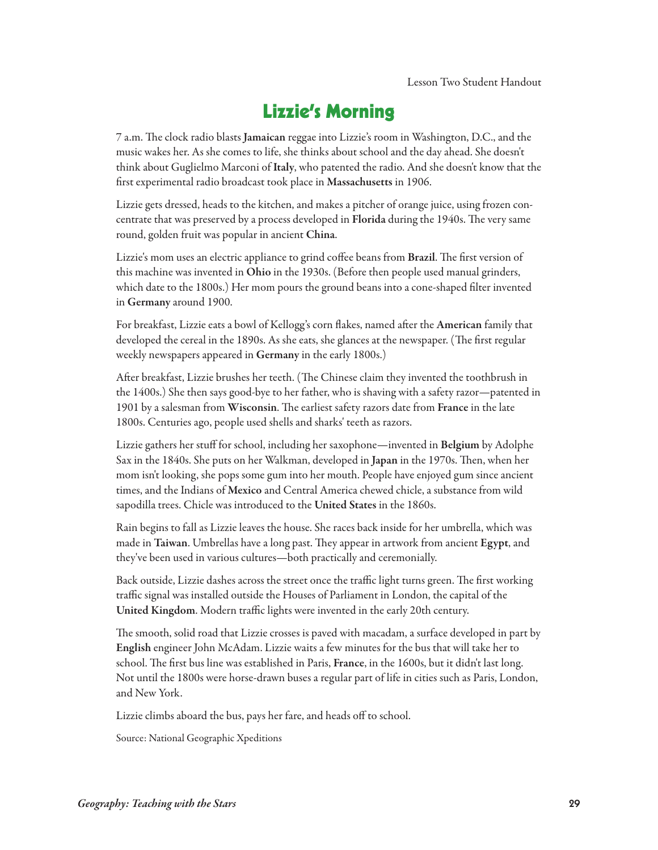## **Lizzie's Morning**

7 a.m. The clock radio blasts Jamaican reggae into Lizzie's room in Washington, D.C., and the music wakes her. As she comes to life, she thinks about school and the day ahead. She doesn't think about Guglielmo Marconi of **italy**, who patented the radio. And she doesn't know that the first experimental radio broadcast took place in **Massachusetts** in 1906.

Lizzie gets dressed, heads to the kitchen, and makes a pitcher of orange juice, using frozen concentrate that was preserved by a process developed in Florida during the 1940s. The very same round, golden fruit was popular in ancient **china**.

Lizzie's mom uses an electric appliance to grind coffee beans from Brazil. The first version of this machine was invented in **ohio** in the 1930s. (Before then people used manual grinders, which date to the 1800s.) Her mom pours the ground beans into a cone-shaped filter invented in **Germany** around 1900.

For breakfast, Lizzie eats a bowl of Kellogg's corn flakes, named after the American family that developed the cereal in the 1890s. As she eats, she glances at the newspaper. (The first regular weekly newspapers appeared in **Germany** in the early 1800s.)

After breakfast, Lizzie brushes her teeth. (The Chinese claim they invented the toothbrush in the 1400s.) She then says good-bye to her father, who is shaving with a safety razor—patented in 1901 by a salesman from Wisconsin. The earliest safety razors date from France in the late 1800s. Centuries ago, people used shells and sharks' teeth as razors.

Lizzie gathers her stuff for school, including her saxophone—invented in **belgium** by Adolphe Sax in the 1840s. She puts on her Walkman, developed in Japan in the 1970s. Then, when her mom isn't looking, she pops some gum into her mouth. People have enjoyed gum since ancient times, and the Indians of **Mexico** and Central America chewed chicle, a substance from wild sapodilla trees. Chicle was introduced to the **United states** in the 1860s.

Rain begins to fall as Lizzie leaves the house. She races back inside for her umbrella, which was made in Taiwan. Umbrellas have a long past. They appear in artwork from ancient Egypt, and they've been used in various cultures—both practically and ceremonially.

Back outside, Lizzie dashes across the street once the traffic light turns green. The first working traffic signal was installed outside the Houses of Parliament in London, the capital of the **United Kingdom**. Modern traffic lights were invented in the early 20th century.

The smooth, solid road that Lizzie crosses is paved with macadam, a surface developed in part by **english** engineer John McAdam. Lizzie waits a few minutes for the bus that will take her to school. The first bus line was established in Paris, **France**, in the 1600s, but it didn't last long. Not until the 1800s were horse-drawn buses a regular part of life in cities such as Paris, London, and New York.

Lizzie climbs aboard the bus, pays her fare, and heads off to school.

Source: National Geographic Xpeditions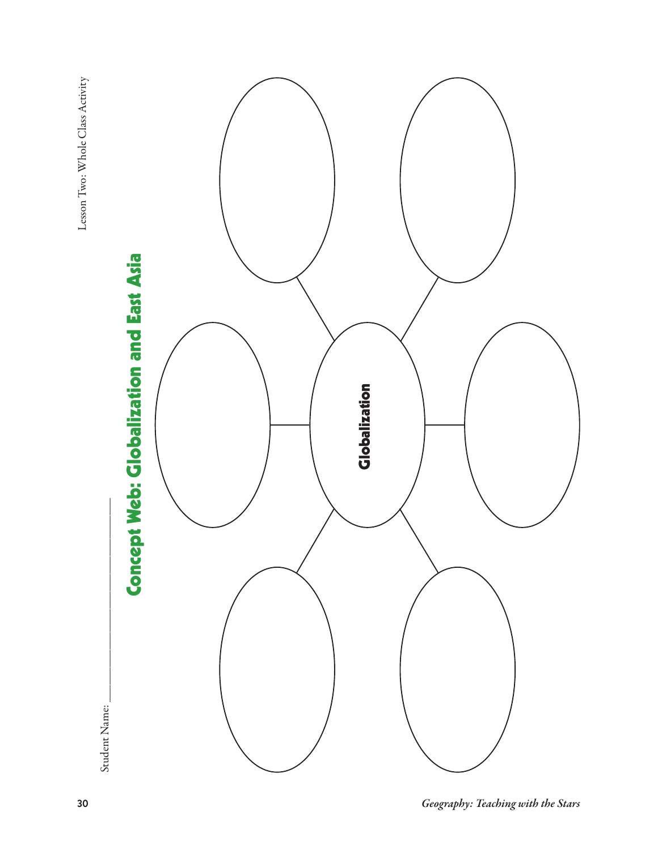Lesson Two: Whole Class Activity Lesson Two: Whole Class Activity





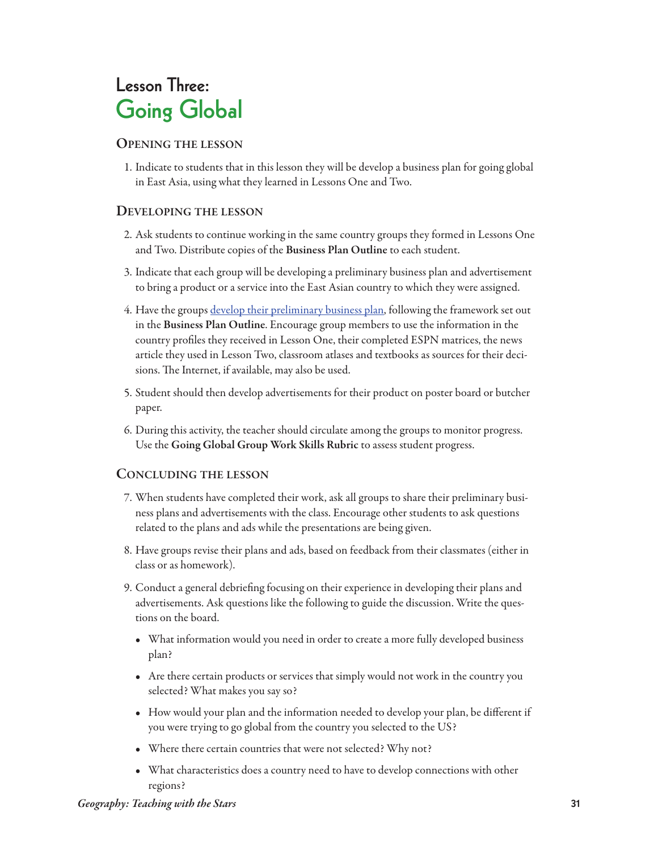## **Lesson Three: Going Global**

## **openinG the Lesson**

1. Indicate to students that in this lesson they will be develop a business plan for going global in East Asia, using what they learned in Lessons One and Two.

## **DeveLopinG the Lesson**

- 2. Ask students to continue working in the same country groups they formed in Lessons One and Two. Distribute copies of the **business plan outline** to each student.
- 3. Indicate that each group will be developing a preliminary business plan and advertisement to bring a product or a service into the East Asian country to which they were assigned.
- 4. Have the groups [develop their preliminary business plan,](http://www.geoteach.org/teacher_resources/lessons/video/business_plan.mp4) following the framework set out in the **business plan outline**. Encourage group members to use the information in the country profiles they received in Lesson One, their completed ESPN matrices, the news article they used in Lesson Two, classroom atlases and textbooks as sources for their decisions. The Internet, if available, may also be used.
- 5. Student should then develop advertisements for their product on poster board or butcher paper.
- 6. During this activity, the teacher should circulate among the groups to monitor progress. Use the Going Global Group Work Skills Rubric to assess student progress.

## **concLUDinG the Lesson**

- 7. When students have completed their work, ask all groups to share their preliminary business plans and advertisements with the class. Encourage other students to ask questions related to the plans and ads while the presentations are being given.
- 8. Have groups revise their plans and ads, based on feedback from their classmates (either in class or as homework).
- 9. Conduct a general debriefing focusing on their experience in developing their plans and advertisements. Ask questions like the following to guide the discussion. Write the questions on the board.
	- What information would you need in order to create a more fully developed business plan?
	- Are there certain products or services that simply would not work in the country you selected? What makes you say so?
	- How would your plan and the information needed to develop your plan, be different if you were trying to go global from the country you selected to the US?
	- Where there certain countries that were not selected? Why not?
	- What characteristics does a country need to have to develop connections with other regions?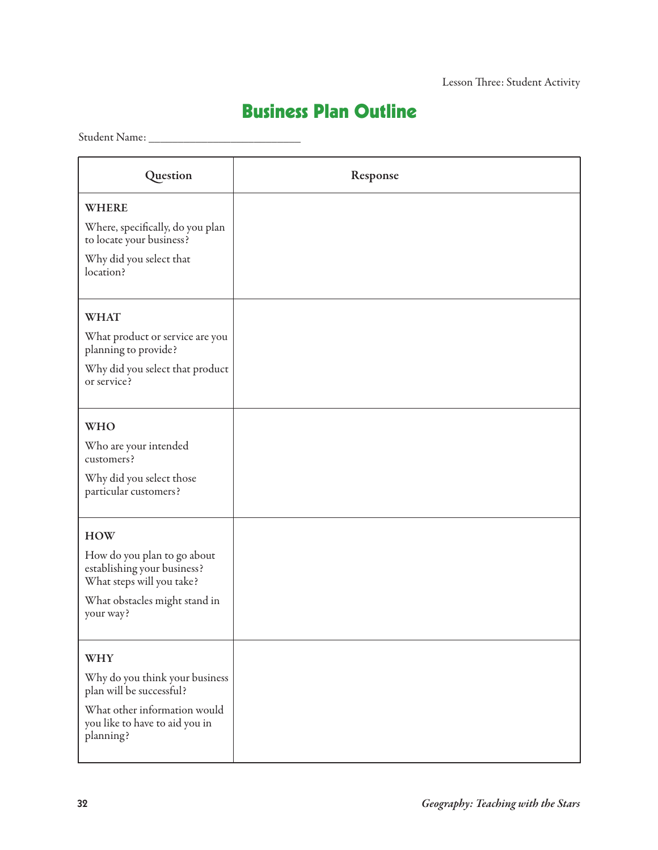## **Business Plan Outline**

Student Name: \_\_\_\_\_\_\_\_\_\_\_\_\_\_\_\_\_\_\_\_\_\_\_\_\_\_

| Question                                                                                | Response |
|-----------------------------------------------------------------------------------------|----------|
| <b>WHERE</b>                                                                            |          |
| Where, specifically, do you plan<br>to locate your business?                            |          |
| Why did you select that<br>location?                                                    |          |
| <b>WHAT</b>                                                                             |          |
| What product or service are you<br>planning to provide?                                 |          |
| Why did you select that product<br>or service?                                          |          |
| <b>WHO</b>                                                                              |          |
| Who are your intended<br>customers?                                                     |          |
| Why did you select those<br>particular customers?                                       |          |
| <b>HOW</b>                                                                              |          |
| How do you plan to go about<br>establishing your business?<br>What steps will you take? |          |
| What obstacles might stand in<br>your way?                                              |          |
| <b>WHY</b>                                                                              |          |
| Why do you think your business<br>plan will be successful?                              |          |
| What other information would<br>you like to have to aid you in<br>planning?             |          |